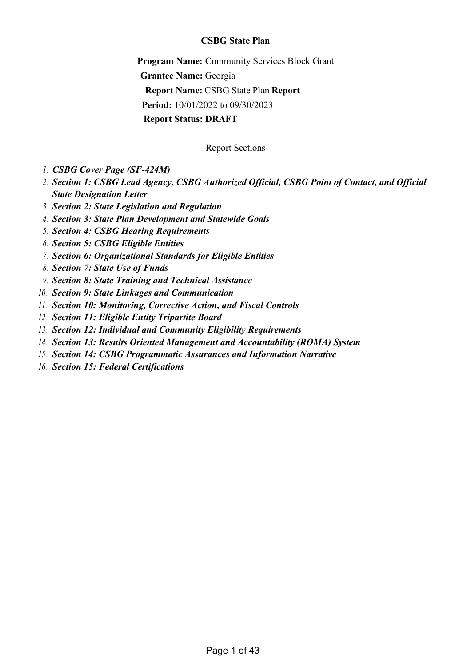# **CSBG State Plan**

**Program Name:** Community Services Block Grant **Grantee Name:** Georgia **Report Name:** CSBG State Plan **Report** 

**Period:** 10/01/2022 to 09/30/2023

**Report Status: DRAFT**

Report Sections

- *1. [CSBG Cover Page \(SF-424M\)](#page-1-0)*
- *2. Section 1: CSBG Lead Agency, CSBG [Authorized](#page-3-0) Official, CSBG Point of Contact, and Official [State Designation Letter](#page-3-0)*
- *3. [Section 2: State Legislation and Regulation](#page-5-0)*
- *4. [Section 3: State Plan Development and Statewide Goals](#page-6-0)*
- *5. [Section 4: CSBG Hearing Requirements](#page-8-0)*
- *6. [Section 5: CSBG Eligible Entities](#page-9-0)*
- *7. [Section 6: Organizational Standards for Eligible Entities](#page-11-0)*
- *8. [Section 7: State Use of Funds](#page-13-0)*
- *9. [Section 8: State Training and Technical Assistance](#page-17-0)*
- *10. [Section 9: State Linkages and Communication](#page-19-0)*
- *11. [Section 10: Monitoring, Corrective Action, and Fiscal Controls](#page-23-0)*
- *12. [Section 11: Eligible Entity Tripartite Board](#page-27-0)*
- *13. [Section 12: Individual and Community Eligibility Requirements](#page-28-0)*
- *14. [Section 13: Results Oriented Management and Accountability \(ROMA\) System](#page-29-0)*
- *15. [Section 14: CSBG Programmatic Assurances and Information Narrative](#page-31-0)*
- *16. [Section 15: Federal Certifications](#page-35-0)*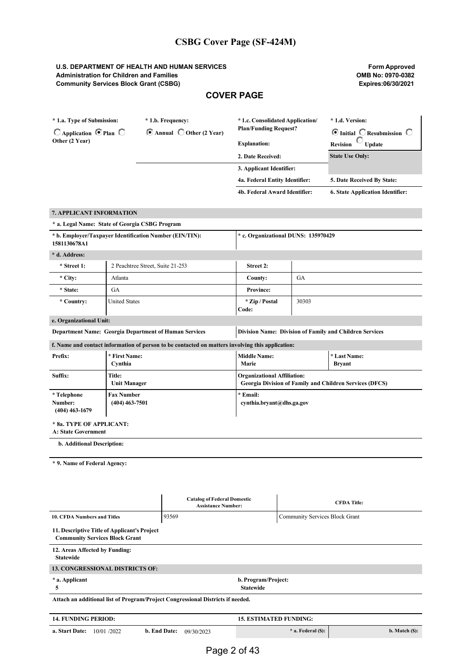# <span id="page-1-0"></span>**CSBG Cover Page (SF-424M)**

### U.S. DEPARTMENT OF HEALTH AND HUMAN SERVICES<br>Administration for Children and Families<br>**Administration for Children and Families Administration for Children and Families OMB No: 0970-0382 Community Services Block Grant (CSBG)**

# **COVER PAGE**

| * 1.a. Type of Submission:<br>$\Box$ Application $\bigcirc$ Plan $\bigcirc$<br>Other (2 Year)                           |                                       |                                                                                               | * 1.b. Frequency:<br><b>Annual</b> Other (2 Year)                                                | * 1.c. Consolidated Application/<br><b>Plan/Funding Request?</b><br><b>Explanation:</b><br>2. Date Received:<br>3. Applicant Identifier:<br>4a. Federal Entity Identifier:<br>4b. Federal Award Identifier: |  |                                | * 1.d. Version:<br><b>Thitial CResubmission C</b><br><b>Update</b><br><b>Revision</b><br><b>State Use Only:</b><br>5. Date Received By State:<br><b>6. State Application Identifier:</b> |  |  |
|-------------------------------------------------------------------------------------------------------------------------|---------------------------------------|-----------------------------------------------------------------------------------------------|--------------------------------------------------------------------------------------------------|-------------------------------------------------------------------------------------------------------------------------------------------------------------------------------------------------------------|--|--------------------------------|------------------------------------------------------------------------------------------------------------------------------------------------------------------------------------------|--|--|
| 7. APPLICANT INFORMATION                                                                                                |                                       |                                                                                               |                                                                                                  |                                                                                                                                                                                                             |  |                                |                                                                                                                                                                                          |  |  |
| * a. Legal Name: State of Georgia CSBG Program                                                                          |                                       |                                                                                               |                                                                                                  |                                                                                                                                                                                                             |  |                                |                                                                                                                                                                                          |  |  |
| * b. Employer/Taxpayer Identification Number (EIN/TIN):<br>1581130678A1                                                 |                                       |                                                                                               |                                                                                                  | * c. Organizational DUNS: 135970429                                                                                                                                                                         |  |                                |                                                                                                                                                                                          |  |  |
| * d. Address:                                                                                                           |                                       |                                                                                               |                                                                                                  |                                                                                                                                                                                                             |  |                                |                                                                                                                                                                                          |  |  |
| * Street 1:                                                                                                             | 2 Peachtree Street, Suite 21-253      |                                                                                               |                                                                                                  | Street 2:                                                                                                                                                                                                   |  |                                |                                                                                                                                                                                          |  |  |
| * City:                                                                                                                 | Atlanta                               |                                                                                               |                                                                                                  | County:                                                                                                                                                                                                     |  | GA                             |                                                                                                                                                                                          |  |  |
| * State:                                                                                                                | <b>GA</b>                             |                                                                                               |                                                                                                  | <b>Province:</b>                                                                                                                                                                                            |  |                                |                                                                                                                                                                                          |  |  |
| * Country:                                                                                                              | <b>United States</b>                  |                                                                                               |                                                                                                  | * Zip / Postal<br>Code:                                                                                                                                                                                     |  | 30303                          |                                                                                                                                                                                          |  |  |
| e. Organizational Unit:                                                                                                 |                                       |                                                                                               |                                                                                                  |                                                                                                                                                                                                             |  |                                |                                                                                                                                                                                          |  |  |
| Division Name: Division of Family and Children Services<br><b>Department Name: Georgia Department of Human Services</b> |                                       |                                                                                               |                                                                                                  |                                                                                                                                                                                                             |  |                                |                                                                                                                                                                                          |  |  |
|                                                                                                                         |                                       |                                                                                               | f. Name and contact information of person to be contacted on matters involving this application: |                                                                                                                                                                                                             |  |                                |                                                                                                                                                                                          |  |  |
| Prefix:                                                                                                                 | * First Name:<br>Cynthia              |                                                                                               |                                                                                                  | <b>Middle Name:</b><br><b>Marie</b>                                                                                                                                                                         |  |                                | * Last Name:<br><b>Bryant</b>                                                                                                                                                            |  |  |
| Suffix:                                                                                                                 |                                       | <b>Organizational Affiliation:</b><br>Georgia Division of Family and Children Services (DFCS) |                                                                                                  |                                                                                                                                                                                                             |  |                                |                                                                                                                                                                                          |  |  |
| * Telephone<br>Number:<br>$(404)$ 463-1679                                                                              | <b>Fax Number</b><br>$(404)$ 463-7501 |                                                                                               |                                                                                                  | * Email:<br>cynthia.bryant@dhs.ga.gov                                                                                                                                                                       |  |                                |                                                                                                                                                                                          |  |  |
| * 8a. TYPE OF APPLICANT:<br><b>A: State Government</b>                                                                  |                                       |                                                                                               |                                                                                                  |                                                                                                                                                                                                             |  |                                |                                                                                                                                                                                          |  |  |
| b. Additional Description:                                                                                              |                                       |                                                                                               |                                                                                                  |                                                                                                                                                                                                             |  |                                |                                                                                                                                                                                          |  |  |
| * 9. Name of Federal Agency:                                                                                            |                                       |                                                                                               |                                                                                                  |                                                                                                                                                                                                             |  |                                |                                                                                                                                                                                          |  |  |
|                                                                                                                         |                                       |                                                                                               |                                                                                                  |                                                                                                                                                                                                             |  |                                |                                                                                                                                                                                          |  |  |
|                                                                                                                         |                                       |                                                                                               | <b>Catalog of Federal Domestic</b><br><b>Assistance Number:</b>                                  |                                                                                                                                                                                                             |  |                                | <b>CFDA Title:</b>                                                                                                                                                                       |  |  |
| 10. CFDA Numbers and Titles                                                                                             |                                       |                                                                                               | 93569                                                                                            |                                                                                                                                                                                                             |  | Community Services Block Grant |                                                                                                                                                                                          |  |  |
| 11. Descriptive Title of Applicant's Project<br><b>Community Services Block Grant</b>                                   |                                       |                                                                                               |                                                                                                  |                                                                                                                                                                                                             |  |                                |                                                                                                                                                                                          |  |  |
| 12. Areas Affected by Funding:<br><b>Statewide</b>                                                                      |                                       |                                                                                               |                                                                                                  |                                                                                                                                                                                                             |  |                                |                                                                                                                                                                                          |  |  |
| <b>13. CONGRESSIONAL DISTRICTS OF:</b>                                                                                  |                                       |                                                                                               |                                                                                                  |                                                                                                                                                                                                             |  |                                |                                                                                                                                                                                          |  |  |
| * a. Applicant                                                                                                          |                                       |                                                                                               |                                                                                                  | b. Program/Project:                                                                                                                                                                                         |  |                                |                                                                                                                                                                                          |  |  |

**5** 

**Statewide**

**Attach an additional list of Program/Project Congressional Districts if needed.**

| <b>14. FUNDING PERIOD:</b> |             |              |            | <b>15. ESTIMATED FUNDING:</b> |              |  |  |
|----------------------------|-------------|--------------|------------|-------------------------------|--------------|--|--|
| a. Start Date:             | 10/01 /2022 | b. End Date: | 09/30/2023 | * a. Federal (\$):            | b. Match(S): |  |  |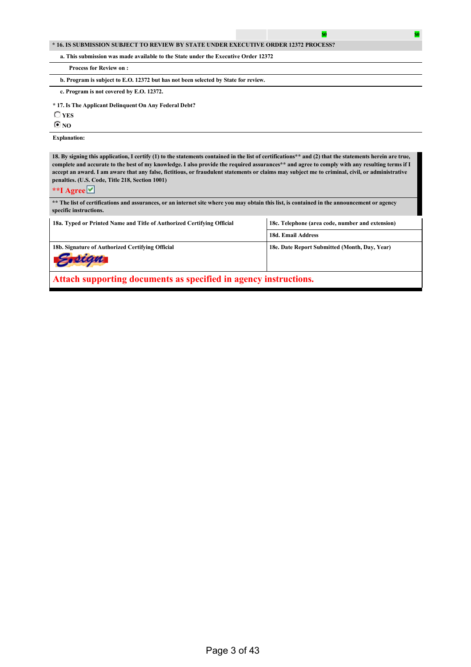### **\* 16. IS SUBMISSION SUBJECT TO REVIEW BY STATE UNDER EXECUTIVE ORDER 12372 PROCESS?**

## **a. This submission was made available to the State under the Executive Order 12372**

**Process for Review on :** 

**b. Program is subject to E.O. 12372 but has not been selected by State for review.**

**c. Program is not covered by E.O. 12372.**

**\* 17. Is The Applicant Delinquent On Any Federal Debt?**

**YES**

**O**<sub>NO</sub>

**Explanation:**

18. By signing this application, I certify (1) to the statements contained in the list of certifications\*\* and (2) that the statements herein are true, complete and accurate to the best of my knowledge. I also provide the required assurances\*\* and agree to comply with any resulting terms if I **accept an award. I am aware that any false, fictitious, or fraudulent statements or claims may subject me to criminal, civil, or administrative penalties. (U.S. Code, Title 218, Section 1001)**

**\$0 \$0**

# **\*\*I Agree**

|                        | ** The list of certifications and assurances, or an internet site where you may obtain this list, is contained in the announcement or agency |
|------------------------|----------------------------------------------------------------------------------------------------------------------------------------------|
| specific instructions. |                                                                                                                                              |

| 18a. Typed or Printed Name and Title of Authorized Certifying Official | 18c. Telephone (area code, number and extension) |  |  |  |  |  |
|------------------------------------------------------------------------|--------------------------------------------------|--|--|--|--|--|
|                                                                        | 18d. Email Address                               |  |  |  |  |  |
| 18b. Signature of Authorized Certifying Official<br>Sosign             | 18e. Date Report Submitted (Month, Day, Year)    |  |  |  |  |  |
| Attach supporting documents as specified in agency instructions.       |                                                  |  |  |  |  |  |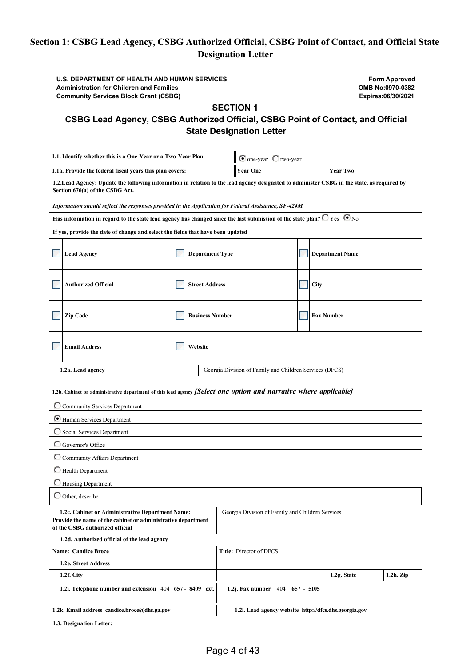# <span id="page-3-0"></span>**Section 1: CSBG Lead Agency, CSBG Authorized Official, CSBG Point of Contact, and Official State Designation Letter**

U.S. DEPARTMENT OF HEALTH AND HUMAN SERVICES<br>
Administration for Children and Families<br> **Administration for Children and Families Administration for Children and Families OMB No:0970-0382 Community Services Block Grant (CSBG)** 

**SECTION 1** 

# **CSBG Lead Agency, CSBG Authorized Official, CSBG Point of Contact, and Official State Designation Letter**

| 1.1. Identify whether this is a One-Year or a Two-Year Plan                                                                                                                     | $\bullet$ one-year $\bullet$ two-year |                 |  |  |  |  |  |
|---------------------------------------------------------------------------------------------------------------------------------------------------------------------------------|---------------------------------------|-----------------|--|--|--|--|--|
| 1.1a. Provide the federal fiscal years this plan covers:                                                                                                                        | <b>Year One</b>                       | <b>Year Two</b> |  |  |  |  |  |
| 1.2. Lead Agency: Update the following information in relation to the lead agency designated to administer CSBG in the state, as required by<br>Section 676(a) of the CSBG Act. |                                       |                 |  |  |  |  |  |

*Information should reflect the responses provided in the Application for Federal Assistance, SF-424M.*

Has information in regard to the state lead agency has changed since the last submission of the state plan?  $\overline{\bigcirc_{Yes} \bigcirc_{No}}$ 

**If yes, provide the date of change and select the fields that have been updated**

| <b>Lead Agency</b>                                                           |  | <b>Department Type</b> |  | <b>Department Name</b> |  |
|------------------------------------------------------------------------------|--|------------------------|--|------------------------|--|
| <b>Authorized Official</b>                                                   |  | <b>Street Address</b>  |  | City                   |  |
| <b>Zip Code</b>                                                              |  | <b>Business Number</b> |  | <b>Fax Number</b>      |  |
| <b>Email Address</b>                                                         |  | Website                |  |                        |  |
| Georgia Division of Family and Children Services (DFCS)<br>1.2a. Lead agency |  |                        |  |                        |  |

**1.2b. Cabinet or administrative department of this lead agency** *[Select one option and narrative where applicable]*

| Community Services Department                                                                                                                       |                                                       |             |           |
|-----------------------------------------------------------------------------------------------------------------------------------------------------|-------------------------------------------------------|-------------|-----------|
| Human Services Department                                                                                                                           |                                                       |             |           |
| Social Services Department                                                                                                                          |                                                       |             |           |
| Governor's Office                                                                                                                                   |                                                       |             |           |
| Community Affairs Department                                                                                                                        |                                                       |             |           |
| Health Department                                                                                                                                   |                                                       |             |           |
| Housing Department                                                                                                                                  |                                                       |             |           |
| Other, describe                                                                                                                                     |                                                       |             |           |
| 1.2c. Cabinet or Administrative Department Name:<br>Provide the name of the cabinet or administrative department<br>of the CSBG authorized official | Georgia Division of Family and Children Services      |             |           |
| 1.2d. Authorized official of the lead agency                                                                                                        |                                                       |             |           |
| <b>Name: Candice Broce</b>                                                                                                                          | Title: Director of DFCS                               |             |           |
| 1.2e. Street Address                                                                                                                                |                                                       |             |           |
| 1.2f. City                                                                                                                                          |                                                       | 1.2g. State | 1.2h. Zip |
| 1.2i. Telephone number and extension 404 657 - 8409 ext.                                                                                            | 1.2 <i>j</i> . Fax number 404 657 - 5105              |             |           |
| 1.2k. Email address candice.broce@dhs.ga.gov                                                                                                        | 1.2l. Lead agency website http://dfcs.dhs.georgia.gov |             |           |

**1.3. Designation Letter:**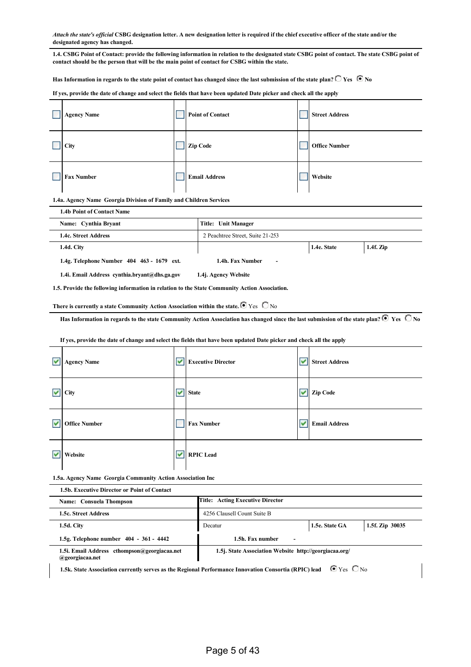Attach the state's official CSBG designation letter. A new designation letter is required if the chief executive officer of the state and/or the **designated agency has changed.**

1.4. CSBG Point of Contact: provide the following information in relation to the designated state CSBG point of contact. The state CSBG point of **contact should be the person that will be the main point of contact for CSBG within the state.**

**Has Information in regards to the state point of contact has changed since the last submission of the state plan? Yes No**

**If yes, provide the date of change and select the fields that have been updated Date picker and check all the apply**

| <b>Agency Name</b>                                                                                                                                     |   | <b>Point of Contact</b>   |   | <b>Street Address</b> |             |
|--------------------------------------------------------------------------------------------------------------------------------------------------------|---|---------------------------|---|-----------------------|-------------|
| City                                                                                                                                                   |   | <b>Zip Code</b>           |   | <b>Office Number</b>  |             |
| <b>Fax Number</b>                                                                                                                                      |   | <b>Email Address</b>      |   | Website               |             |
| 1.4a. Agency Name Georgia Division of Family and Children Services                                                                                     |   |                           |   |                       |             |
| 1.4b Point of Contact Name                                                                                                                             |   |                           |   |                       |             |
| <b>Title: Unit Manager</b><br>Name: Cynthia Bryant                                                                                                     |   |                           |   |                       |             |
| 1.4c. Street Address<br>2 Peachtree Street, Suite 21-253                                                                                               |   |                           |   |                       |             |
| 1.4d. City                                                                                                                                             |   |                           |   | 1.4e. State           | $1.4f.$ Zip |
| 1.4h. Fax Number<br>1.4g. Telephone Number 404 463 - 1679 ext.                                                                                         |   |                           |   |                       |             |
| 1.4j. Agency Website<br>1.4i. Email Address cynthia.bryant@dhs.ga.gov                                                                                  |   |                           |   |                       |             |
| 1.5. Provide the following information in relation to the State Community Action Association.                                                          |   |                           |   |                       |             |
| There is currently a state Community Action Association within the state. $\bullet$ Yes $\circ$ No                                                     |   |                           |   |                       |             |
| Has Information in regards to the state Community Action Association has changed since the last submission of the state plan? $\bullet$ Yes $\circ$ No |   |                           |   |                       |             |
| If yes, provide the date of change and select the fields that have been updated Date picker and check all the apply                                    |   |                           |   |                       |             |
| <b>Agency Name</b>                                                                                                                                     | M | <b>Executive Director</b> | M | <b>Street Address</b> |             |
|                                                                                                                                                        |   |                           |   |                       |             |

| v | <b>City</b>          | <b>State</b>      |   | $\sqrt{Zip}$ Code    |
|---|----------------------|-------------------|---|----------------------|
| v | <b>Office Number</b> | <b>Fax Number</b> | v | <b>Email Address</b> |
| M | Website              | RPIC Lead         |   |                      |

**1.5a. Agency Name Georgia Community Action Association Inc**

| 1.5b. Executive Director or Point of Contact                                                                              |                                                                 |                |                 |  |  |
|---------------------------------------------------------------------------------------------------------------------------|-----------------------------------------------------------------|----------------|-----------------|--|--|
| Name: Consuela Thompson                                                                                                   | <b>Title: Acting Executive Director</b>                         |                |                 |  |  |
| 1.5c. Street Address                                                                                                      | 4256 Clausell Count Suite B                                     |                |                 |  |  |
| 1.5d. City                                                                                                                | Decatur                                                         | 1.5e. State GA | 1.5f. Zip 30035 |  |  |
| 1.5g. Telephone number 404 - 361 - 4442                                                                                   | 1.5h. Fax number<br>$\overline{\phantom{0}}$                    |                |                 |  |  |
| 1.5i. Email Address cthompson@georgiacaa.net<br>@georgiacaa.net                                                           | 1.5 <i>j</i> . State Association Website http://georgiacaa.org/ |                |                 |  |  |
| GV. OV.<br>1.51. Chain Americalism account of course and his Distance Development of Longeration Conservation (DDIC) load |                                                                 |                |                 |  |  |

 $\overline{\phantom{a}}$ 

**1.5k. State Association currently serves as the Regional Performance Innovation Consortia (RPIC) lead**  $\bullet$  Yes  $\bullet$  No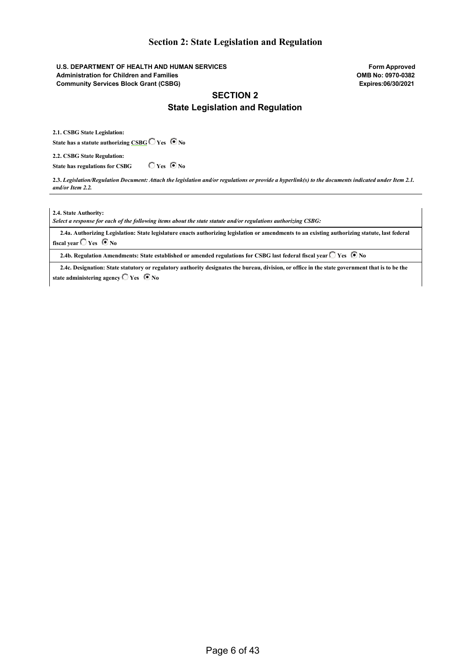**Section 2: State Legislation and Regulation**

<span id="page-5-0"></span>U.S. DEPARTMENT OF HEALTH AND HUMAN SERVICES<br>
Administration for Children and Families<br> **Administration for Children and Families Administration for Children and Families OMB No: 0970-0382 Community Services Block Grant (CSBG)** 

**SECTION 2** 

# **State Legislation and Regulation**

**2.1. CSBG State Legislation:**

**State has a statute authorizing CSBG**  $\bigcirc$  Yes  $\bigcirc$  No

**2.2. CSBG State Regulation:**

**State has regulations for CSBG**  $\qquad$  **Ves**  $\qquad$  **No** 

2.3. Legislation/Regulation Document: Attach the legislation and/or regulations or provide a hyperlink(s) to the documents indicated under Item 2.1. *and/or Item 2.2.*

**2.4. State Authority:**

*Select a response for each of the following items about the state statute and/or regulations authorizing CSBG:*

**2.4a. Authorizing Legislation: State legislature enacts authorizing legislation or amendments to an existing authorizing statute, last federal fiscal year**  $\bigcirc$  **Yes**  $\bigcirc$  **No** 

**2.4b. Regulation Amendments: State established or amended regulations for CSBG last federal fiscal year**  $\overline{C}$  **Yes**  $\overline{C}$  **No** 

2.4c. Designation: State statutory or regulatory authority designates the bureau, division, or office in the state government that is to be the **state administering agency**  $\bigcirc$  **Yes**  $\bigcirc$  No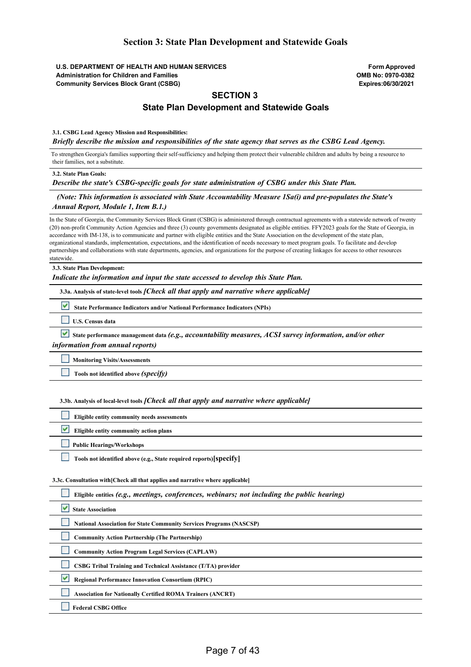**Section 3: State Plan Development and Statewide Goals**

<span id="page-6-0"></span>U.S. DEPARTMENT OF HEALTH AND HUMAN SERVICES **Form** Approved **Form** Approved **Form** Approved **Administration** for Children and Families **Administration for Children and Families Community Services Block Grant (CSBG) Expires:06/30/2021**

## **SECTION 3**

## **State Plan Development and Statewide Goals**

#### **3.1. CSBG Lead Agency Mission and Responsibilities:**

Briefly describe the mission and responsibilities of the state agency that serves as the CSBG Lead Agency.

To strengthen Georgia's families supporting their self-sufficiency and helping them protect their vulnerable children and adults by being a resource to their families, not a substitute.

**3.2. State Plan Goals:**

*Describe the state's CSBG-specific goals for state administration of CSBG under this State Plan.*

*(Note: This information is associated with State Accountability Measure 1Sa(i) and pre-populates the State's Annual Report, Module 1, Item B.1.)*

In the State of Georgia, the Community Services Block Grant (CSBG) is administered through contractual agreements with a statewide network of twenty (20) non-profit Community Action Agencies and three (3) county governments designated as eligible entities. FFY2023 goals for the State of Georgia, in accordance with IM-138, is to communicate and partner with eligible entities and the State Association on the development of the state plan, organizational standards, implementation, expectations, and the identification of needs necessary to meet program goals. To facilitate and develop partnerships and collaborations with state departments, agencies, and organizations for the purpose of creating linkages for access to other resources statewide.

**3.3. State Plan Development:**

*Indicate the information and input the state accessed to develop this State Plan.*

**3.3a. Analysis of state-level tools** *[Check all that apply and narrative where applicable]*

 $\blacktriangledown$ **State Performance Indicators and/or National Performance Indicators (NPIs)**

**U.S. Census data**

**Barbara** 

**State performance management data** *(e.g., accountability measures, ACSI survey information, and/or other information from annual reports)*

**Monitoring Visits/Assessments**

**Tools not identified above** *(specify)*

**3.3b. Analysis of local-level tools** *[Check all that apply and narrative where applicable]*

| Eligible entity community needs assessments                                                 |
|---------------------------------------------------------------------------------------------|
| Eligible entity community action plans                                                      |
| <b>Public Hearings/Workshops</b>                                                            |
| Tools not identified above (e.g., State required reports) [specify]                         |
|                                                                                             |
| 3.3c. Consultation with Check all that applies and narrative where applicable               |
| Eligible entities (e.g., meetings, conferences, webinars; not including the public hearing) |
| <b>State Association</b>                                                                    |
|                                                                                             |

**National Association for State Community Services Programs (NASCSP)**

**B Community Action Partnership (The Partnership)**

**CONTRACT Community Action Program Legal Services (CAPLAW)**

a a **CSBG Tribal Training and Technical Assistance (T/TA) provider**

M **Regional Performance Innovation Consortium (RPIC)**

**Association for Nationally Certified ROMA Trainers (ANCRT)**

**Federal CSBG Office**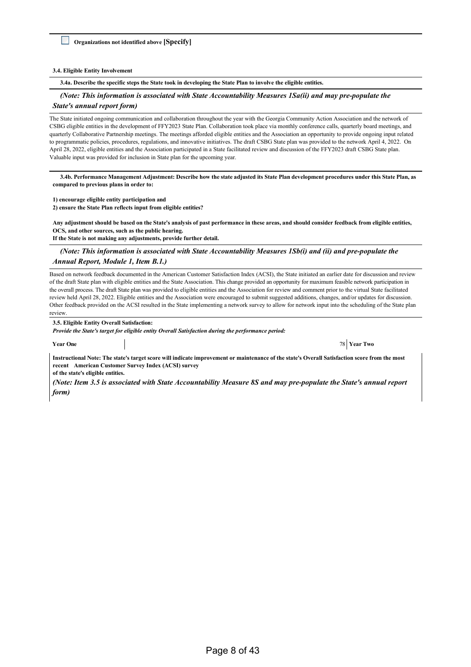#### **3.4. Eligible Entity Involvement**

**3.4a. Describe the specific steps the State took in developing the State Plan to involve the eligible entities.**

### *(Note: This information is associated with State Accountability Measures 1Sa(ii) and may pre-populate the State's annual report form)*

The State initiated ongoing communication and collaboration throughout the year with the Georgia Community Action Association and the network of CSBG eligible entities in the development of FFY2023 State Plan. Collaboration took place via monthly conference calls, quarterly board meetings, and quarterly Collaborative Partnership meetings. The meetings afforded eligible entities and the Association an opportunity to provide ongoing input related to programmatic policies, procedures, regulations, and innovative initiatives. The draft CSBG State plan was provided to the network April 4, 2022. On April 28, 2022, eligible entities and the Association participated in a State facilitated review and discussion of the FFY2023 draft CSBG State plan. Valuable input was provided for inclusion in State plan for the upcoming year.

3.4b. Performance Management Adjustment: Describe how the state adjusted its State Plan development procedures under this State Plan, as **compared to previous plans in order to:**

**1) encourage eligible entity participation and**

**2) ensure the State Plan reflects input from eligible entities?**

Any adjustment should be based on the State's analysis of past performance in these areas, and should consider feedback from eligible entities, **OCS, and other sources, such as the public hearing. If the State is not making any adjustments, provide further detail.**

*Annual Report, Module 1, Item B.1.) (Note: This information is associated with State Accountability Measures 1Sb(i) and (ii) and pre-populate the*

Based on network feedback documented in the American Customer Satisfaction Index (ACSI), the State initiated an earlier date for discussion and review of the draft State plan with eligible entities and the State Association. This change provided an opportunity for maximum feasible network participation in the overall process. The draft State plan was provided to eligible entities and the Association for review and comment prior to the virtual State facilitated review held April 28, 2022. Eligible entities and the Association were encouraged to submit suggested additions, changes, and/or updates for discussion. Other feedback provided on the ACSI resulted in the State implementing a network survey to allow for network input into the scheduling of the State plan review

**3.5. Eligible Entity Overall Satisfaction:** *Provide the State's target for eligible entity Overall Satisfaction during the performance period:*

**Year One** 78 **Year Two**

Instructional Note: The state's target score will indicate improvement or maintenance of the state's Overall Satisfaction score from the most **recent [American Customer Survey Index \(ACSI\) survey](https://www.acf.hhs.gov/ocs/resource/csbg-im-150-use-of-the-american-customer-satisfaction-index-acsi-to-improve-network-effectiveness/) of the state's eligible entities.**

*(Note: Item 3.5 is associated with State Accountability Measure 8S and may pre-populate the State's annual report form)*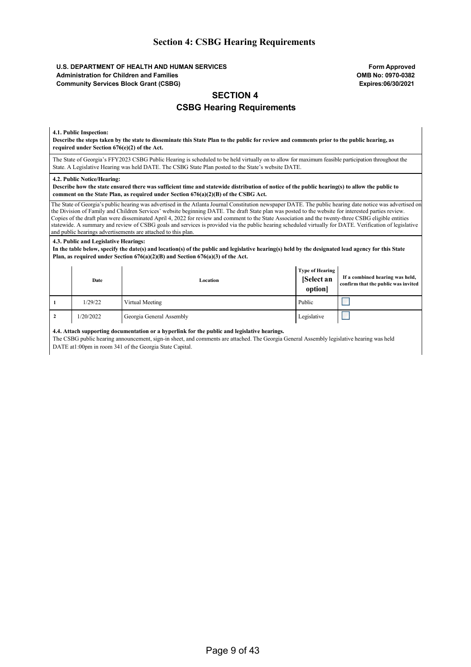## **Section 4: CSBG Hearing Requirements**

#### <span id="page-8-0"></span>U.S. DEPARTMENT OF HEALTH AND HUMAN SERVICES<br>Administration for Children and Families<br> **Administration for Children and Families Administration for Children and Families OMB No: 0970-0382 Community Services Block Grant (CSBG)**

# **SECTION 4 CSBG Hearing Requirements**

### **4.1. Public Inspection:**

Describe the steps taken by the state to disseminate this State Plan to the public for review and comments prior to the public hearing, as **required under Section 676(e)(2) of the Act.**

The State of Georgia's FFY2023 CSBG Public Hearing is scheduled to be held virtually on to allow for maximum feasible participation throughout the State. A Legislative Hearing was held DATE. The CSBG State Plan posted to the State's website DATE.

#### **4.2. Public Notice/Hearing:**

Describe how the state ensured there was sufficient time and statewide distribution of notice of the public hearing(s) to allow the public to **comment on the State Plan, as required under Section 676(a)(2)(B) of the CSBG Act.**

The State of Georgia's public hearing was advertised in the Atlanta Journal Constitution newspaper DATE. The public hearing date notice was advertised on the Division of Family and Children Services' website beginning DATE. The draft State plan was posted to the website for interested parties review. Copies of the draft plan were disseminated April 4, 2022 for review and comment to the State Association and the twenty-three CSBG eligible entities statewide. A summary and review of CSBG goals and services is provided via the public hearing scheduled virtually for DATE. Verification of legislative and public hearings advertisements are attached to this plan.

#### **4.3. Public and Legislative Hearings:**

In the table below, specify the date(s) and location(s) of the public and legislative hearing(s) held by the designated lead agency for this State **Plan, as required under Section 676(a)(2)(B) and Section 676(a)(3) of the Act.**

|              | Date      | Location                 | <b>Type of Hearing</b><br>[Select an<br>option | If a combined hearing was held,<br>confirm that the public was invited |
|--------------|-----------|--------------------------|------------------------------------------------|------------------------------------------------------------------------|
|              | 1/29/22   | Virtual Meeting          | Public                                         |                                                                        |
| $\mathbf{2}$ | 1/20/2022 | Georgia General Assembly | Legislative                                    |                                                                        |

#### **4.4. Attach supporting documentation or a hyperlink for the public and legislative hearings.**

The CSBG public hearing announcement, sign-in sheet, and comments are attached. The Georgia General Assembly legislative hearing was held DATE at1:00pm in room 341 of the Georgia State Capital.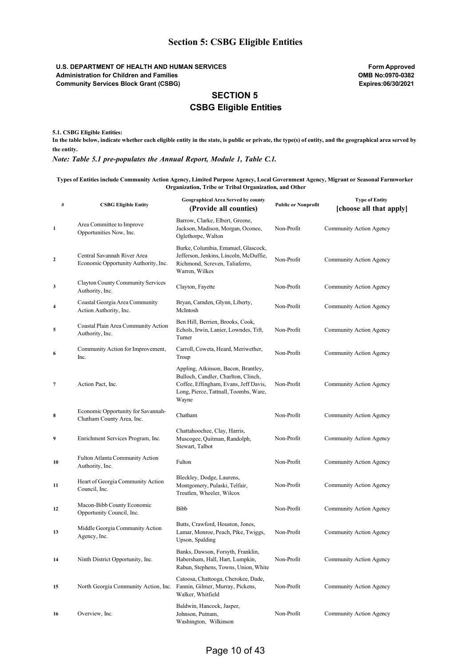# **Section 5: CSBG Eligible Entities**

### <span id="page-9-0"></span>U.S. DEPARTMENT OF HEALTH AND HUMAN SERVICES<br>
Administration for Children and Families<br> **Administration for Children and Families Administration for Children and Families OMB No:0970-0382 Community Services Block Grant (CSBG)**

# **SECTION 5 CSBG Eligible Entities**

**5.1. CSBG Eligible Entities:**

In the table below, indicate whether each eligible entity in the state, is public or private, the type(s) of entity, and the geographical area served by **the entity.**

*Note: Table 5.1 pre-populates the Annual Report, Module 1, Table C.1.*

Types of Entities include Community Action Agency, Limited Purpose Agency, Local Government Agency, Migrant or Seasonal Farmworker **Organization, Tribe or Tribal Organization, and Other**

| #                | <b>CSBG Eligible Entity</b>                                         | <b>Geographical Area Served by county</b><br>(Provide all counties)                                                                                                   | <b>Public or Nonprofit</b> | Type of Entity<br>[choose all that apply] |
|------------------|---------------------------------------------------------------------|-----------------------------------------------------------------------------------------------------------------------------------------------------------------------|----------------------------|-------------------------------------------|
| 1                | Area Committee to Improve<br>Opportunities Now, Inc.                | Barrow, Clarke, Elbert, Greene,<br>Jackson, Madison, Morgan, Oconee,<br>Oglethorpe, Walton                                                                            | Non-Profit                 | Community Action Agency                   |
| $\boldsymbol{2}$ | Central Savannah River Area<br>Economic Opportunity Authority, Inc. | Burke, Columbia, Emanuel, Glascock,<br>Jefferson, Jenkins, Lincoln, McDuffie,<br>Richmond, Screven, Taliaferro,<br>Warren, Wilkes                                     | Non-Profit                 | Community Action Agency                   |
| 3                | <b>Clayton County Community Services</b><br>Authority, Inc.         | Clayton, Fayette                                                                                                                                                      | Non-Profit                 | Community Action Agency                   |
| 4                | Coastal Georgia Area Community<br>Action Authority, Inc.            | Bryan, Camden, Glynn, Liberty,<br>McIntosh                                                                                                                            | Non-Profit                 | Community Action Agency                   |
| 5                | Coastal Plain Area Community Action<br>Authority, Inc.              | Ben Hill, Berrien, Brooks, Cook,<br>Echols, Irwin, Lanier, Lowndes, Tift,<br>Turner                                                                                   | Non-Profit                 | Community Action Agency                   |
| 6                | Community Action for Improvement,<br>Inc.                           | Carroll, Coweta, Heard, Meriwether,<br>Troup                                                                                                                          | Non-Profit                 | Community Action Agency                   |
| 7                | Action Pact, Inc.                                                   | Appling, Atkinson, Bacon, Brantley,<br>Bulloch, Candler, Charlton, Clinch,<br>Coffee, Effingham, Evans, Jeff Davis,<br>Long, Pierce, Tattnall, Toombs, Ware,<br>Wayne | Non-Profit                 | Community Action Agency                   |
| 8                | Economic Opportunity for Savannah-<br>Chatham County Area, Inc.     | Chatham                                                                                                                                                               | Non-Profit                 | Community Action Agency                   |
| 9                | Enrichment Services Program, Inc.                                   | Chattahoochee, Clay, Harris,<br>Muscogee, Quitman, Randolph,<br>Stewart, Talbot                                                                                       | Non-Profit                 | Community Action Agency                   |
| 10               | Fulton Atlanta Community Action<br>Authority, Inc.                  | Fulton                                                                                                                                                                | Non-Profit                 | Community Action Agency                   |
| 11               | Heart of Georgia Community Action<br>Council, Inc.                  | Bleckley, Dodge, Laurens,<br>Montgomery, Pulaski, Telfair,<br>Treutlen, Wheeler, Wilcox                                                                               | Non-Profit                 | Community Action Agency                   |
| 12               | Macon-Bibb County Economic<br>Opportunity Council, Inc.             | Bibb                                                                                                                                                                  | Non-Profit                 | Community Action Agency                   |
| 13               | Middle Georgia Community Action<br>Agency, Inc.                     | Butts, Crawford, Houston, Jones,<br>Lamar, Monroe, Peach, Pike, Twiggs,<br>Upson, Spalding                                                                            | Non-Profit                 | Community Action Agency                   |
| 14               | Ninth District Opportunity, Inc.                                    | Banks, Dawson, Forsyth, Franklin,<br>Habersham, Hall, Hart, Lumpkin,<br>Rabun, Stephens, Towns, Union, White                                                          | Non-Profit                 | Community Action Agency                   |
| 15               | North Georgia Community Action, Inc.                                | Catoosa, Chattooga, Cherokee, Dade,<br>Fannin, Gilmer, Murray, Pickens,<br>Walker, Whitfield                                                                          | Non-Profit                 | Community Action Agency                   |
| 16               | Overview, Inc.                                                      | Baldwin, Hancock, Jasper,<br>Johnson, Putnam,<br>Washington, Wilkinson                                                                                                | Non-Profit                 | Community Action Agency                   |

# Page 10 of 43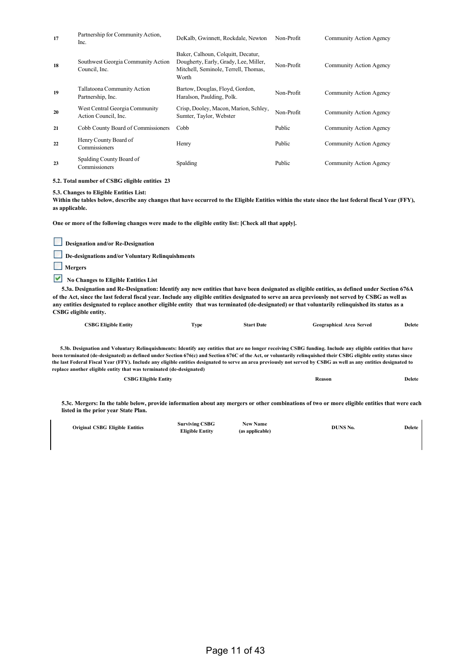| 17 | Partnership for Community Action,<br>Inc.              | DeKalb, Gwinnett, Rockdale, Newton                                                                                           | Non-Profit | Community Action Agency |
|----|--------------------------------------------------------|------------------------------------------------------------------------------------------------------------------------------|------------|-------------------------|
| 18 | Southwest Georgia Community Action<br>Council, Inc.    | Baker, Calhoun, Colquitt, Decatur,<br>Dougherty, Early, Grady, Lee, Miller,<br>Mitchell, Seminole, Terrell, Thomas,<br>Worth | Non-Profit | Community Action Agency |
| 19 | Tallatoona Community Action<br>Partnership, Inc.       | Bartow, Douglas, Floyd, Gordon,<br>Haralson, Paulding, Polk.                                                                 | Non-Profit | Community Action Agency |
| 20 | West Central Georgia Community<br>Action Council, Inc. | Crisp, Dooley, Macon, Marion, Schley,<br>Sumter, Taylor, Webster                                                             | Non-Profit | Community Action Agency |
| 21 | Cobb County Board of Commissioners                     | Cobb                                                                                                                         | Public     | Community Action Agency |
| 22 | Henry County Board of<br>Commissioners                 | Henry                                                                                                                        | Public     | Community Action Agency |
| 23 | Spalding County Board of<br>Commissioners              | Spalding                                                                                                                     | Public     | Community Action Agency |

#### **5.2. Total number of CSBG eligible entities 23**

#### **5.3. Changes to Eligible Entities List:**

Within the tables below, describe any changes that have occurred to the Eligible Entities within the state since the last federal fiscal Year (FFY), **as applicable.**

**One or more of the following changes were made to the eligible entity list: [Check all that apply].**

**Designation and/or Re-Designation De-designations and/or Voluntary Relinquishments Mergers No Changes to Eligible Entities List** 5.3a. Designation and Re-Designation: Identify any new entities that have been designated as eligible entities, as defined under Section 676A of the Act, since the last federal fiscal year. Include any eligible entities designated to serve an area previously not served by CSBG as well as **any entities designated to replace another eligible entity that was terminated (de-designated) or that voluntarily relinquished its status as a CSBG eligible entity.**

| <b>CSBG Eligible Entity</b> | ' vpe | <b>Start Date</b> | <b>Geographical Area Served</b> | Delete |
|-----------------------------|-------|-------------------|---------------------------------|--------|
|                             |       |                   |                                 |        |

**5.3b. Designation and Voluntary Relinquishments: Identify any entities that are no longer receiving CSBG funding. Include any eligible entities that have** been terminated (de-designated) as defined under Section 676(c) and Section 676C of the Act, or voluntarily relinquished their CSBG eligible entity status since the last Federal Fiscal Year (FFY). Include any eligible entities designated to serve an area previously not served by CSBG as well as any entities designated to **replace another eligible entity that was terminated (de-designated)**

**CSBG Eligible Entity Reason Delete**

**5.3c. Mergers: In the table below, provide information about any mergers or other combinations of two or more eligible entities that were each listed in the prior year State Plan.**

| <b>Original CSBG Eligible Entities</b> | <b>Surviving CSBG</b><br><b>Eligible Entity</b> | <b>New Name</b><br>(as applicable) | DUNS No. | Delete |
|----------------------------------------|-------------------------------------------------|------------------------------------|----------|--------|
|                                        |                                                 |                                    |          |        |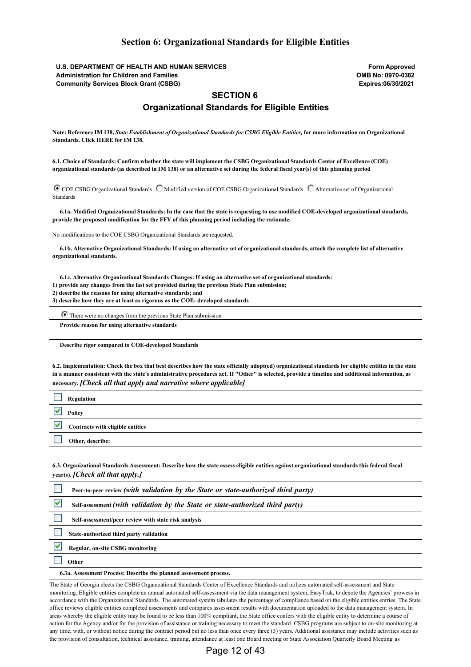**Section 6: Organizational Standards for Eligible Entities**

<span id="page-11-0"></span>U.S. DEPARTMENT OF HEALTH AND HUMAN SERVICES **Form** Approved **Form** Approved **Form** Approved **Administration** for Children and Families **Administration for Children and Families OMB No: 0970-0382 Community Services Block Grant (CSBG)** 

## **SECTION 6**

## **Organizational Standards for Eligible Entities**

Note: Reference IM 138, State Establishment of Organizational Standards for CSBG Eligible Entities, for more information on Organizational **Standards. Clic[k HERE f](http://www.acf.hhs.gov/programs/ocs/resource/csbg-im-138-state-establishment-of-organizational-standards-for-csbg-eligible-entities)or IM 138.**

6.1. Choice of Standards: Confirm whether the state will implement the CSBG Organizational Standards Center of Excellence (COE) **organizational standards (as described in IM 138) or an alternative set during the federal fiscal year(s) of this planning period**

 $\bullet$  COE CSBG Organizational Standards  $\bullet$  Modified version of COE CSBG Organizational Standards  $\bullet$  Alternative set of Organizational Standards

6.1a. Modified Organizational Standards: In the case that the state is requesting to use modified COE-developed organizational standards, **provide the proposed modification for the FFY of this planning period including the rationale.**

No modifications to the COE CSBG Organizational Standards are requested.

6.1b. Alternative Organizational Standards: If using an alternative set of organizational standards, attach the complete list of alternative **organizational standards.**

- **6.1c. Alternative Organizational Standards Changes: If using an alternative set of organizational standards:**
- **1) provide any changes from the last set provided during the previous State Plan submission;**

**2) describe the reasons for using alternative standards; and**

**3) describe how they are at least as rigorous as the COE- developed standards**

There were no changes from the previous State Plan submission

**Provide reason for using alternative standards**

**Describe rigor compared to COE-developed Standards**

6.2. Implementation: Check the box that best describes how the state officially adopt(ed) organizational standards for eligible entities in the state **in a manner consistent with the state's administrative procedures act. If "Other" is selected, provide a timeline and additional information, as necessary.** *[Check all that apply and narrative where applicable]*

|              | Regulation                              |
|--------------|-----------------------------------------|
| $\checkmark$ | Policy                                  |
|              | $\vee$ Contracts with eligible entities |
|              | Other, describe:                        |
|              |                                         |

6.3. Organizational Standards Assessment: Describe how the state assess eligible entities against organizational standards this federal fiscal **year(s).** *[Check all that apply.]*

| Peer-to-peer review (with validation by the State or state-authorized third party) |
|------------------------------------------------------------------------------------|
| Self-assessment (with validation by the State or state-authorized third party)     |
| Self-assessment/peer review with state risk analysis                               |
| State-authorized third party validation                                            |
| <b>Regular, on-site CSBG monitoring</b>                                            |
| Other                                                                              |
| 6.3a. Assessment Process: Describe the planned assessment process.                 |

The State of Georgia elects the CSBG Organizational Standards Center of Excellence Standards and utilizes automated self-assessment and State monitoring. Eligible entities complete an annual automated self-assessment via the data management system, EasyTrak, to denote the Agencies' prowess in accordance with the Organizational Standards. The automated system tabulates the percentage of compliance based on the eligible entities entries. The State office reviews eligible entities completed assessments and compares assessment results with documentation uploaded to the data management system. In areas whereby the eligible entity may be found to be less than 100% compliant, the State office confers with the eligible entity to determine a course of action for the Agency and/or for the provision of assistance or training necessary to meet the standard. CSBG programs are subject to on-site monitoring at any time, with, or without notice during the contract period but no less than once every three (3) years. Additional assistance may include activities such as the provision of consultation, technical assistance, training, attendance at least one Board meeting or State Association Quarterly Board Meeting as

# Page 12 of 43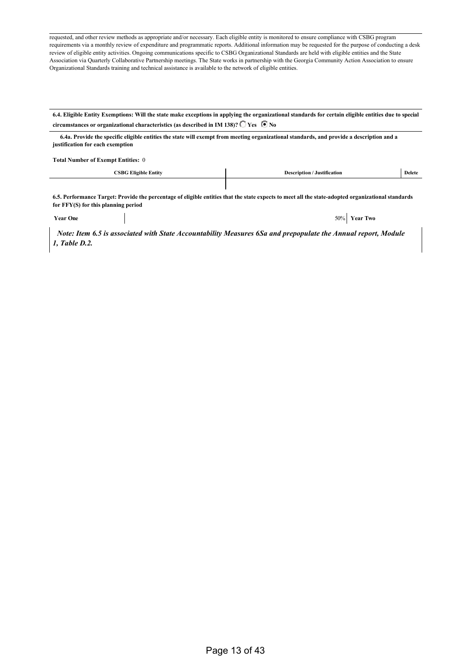requested, and other review methods as appropriate and/or necessary. Each eligible entity is monitored to ensure compliance with CSBG program requirements via a monthly review of expenditure and programmatic reports. Additional information may be requested for the purpose of conducting a desk review of eligible entity activities. Ongoing communications specific to CSBG Organizational Standards are held with eligible entities and the State Association via Quarterly Collaborative Partnership meetings. The State works in partnership with the Georgia Community Action Association to ensure Organizational Standards training and technical assistance is available to the network of eligible entities.

**6.4. Eligible Entity Exemptions: Will the state make exceptions in applying the organizational standards for certain eligible entities due to special circumstances or organizational characteristics (as described in IM 138)?**  $\bigcirc$  **Yes**  $\bigcirc$  **No** 

6.4a. Provide the specific eligible entities the state will exempt from meeting organizational standards, and provide a description and a **justification for each exemption**

**Total Number of Exempt Entities:** 0

| <b>Delete</b>                                                                                                                                                                            |
|------------------------------------------------------------------------------------------------------------------------------------------------------------------------------------------|
|                                                                                                                                                                                          |
| <b>Description / Justification</b><br>6.5. Performance Target: Provide the percentage of eligible entities that the state expects to meet all the state-adopted organizational standards |

**Year One** 50% **Year Two**

*Note: Item 6.5 is associated with State Accountability Measures 6Sa and prepopulate the Annual report, Module 1, Table D.2.*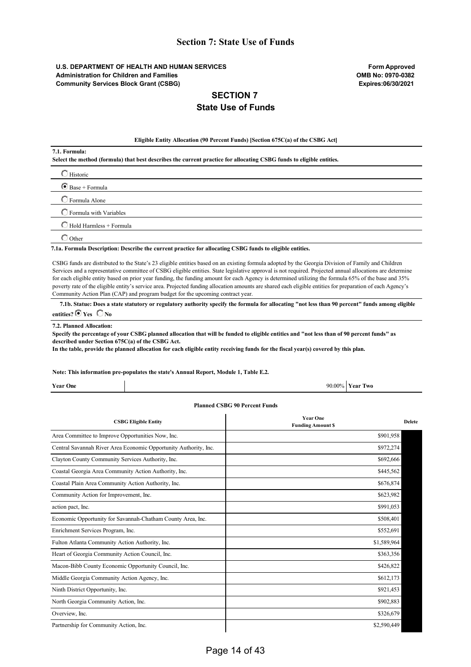## **Section 7: State Use of Funds**

<span id="page-13-0"></span>U.S. DEPARTMENT OF HEALTH AND HUMAN SERVICES<br>Administration for Children and Families<br>Administration for Children and Families **Administration for Children and Families OMB No: 0970-0382 Community Services Block Grant (CSBG)** 

# **SECTION 7 State Use of Funds**

**Eligible Entity Allocation (90 Percent Funds) [Section 675C(a) of the CSBG Act]**

**7.1. Formula: Select the method (formula) that best describes the current practice for allocating CSBG funds to eligible entities. C** Historic Base + Formula Formula Alone Formula with Variables Hold Harmless + Formula **O** Other

**7.1a. Formula Description: Describe the current practice for allocating CSBG funds to eligible entities.**

CSBG funds are distributed to the State's 23 eligible entities based on an existing formula adopted by the Georgia Division of Family and Children Services and a representative committee of CSBG eligible entities. State legislative approval is not required. Projected annual allocations are determine for each eligible entity based on prior year funding, the funding amount for each Agency is determined utilizing the formula 65% of the base and 35% poverty rate of the eligible entity's service area. Projected funding allocation amounts are shared each eligible entities for preparation of each Agency's Community Action Plan (CAP) and program budget for the upcoming contract year.

**7.1b. Statue: Does a state statutory or regulatory authority specify the formula for allocating "not less than 90 percent" funds among eligible entities? e** Yes  $\Box$  No

### **7.2. Planned Allocation:**

Specify the percentage of your CSBG planned allocation that will be funded to eligible entities and "not less than of 90 percent funds" as **described under Section 675C(a) of the CSBG Act.**

**In the table, provide the planned allocation for each eligible entity receiving funds for the fiscal year(s) covered by this plan.**

#### **Note: This information pre-populates the state's Annual Report, Module 1, Table E.2.**

**Year One** 90.00% **Year Two**

#### **Planned CSBG 90 Percent Funds**

| <b>CSBG Eligible Entity</b>                                      | <b>Year One</b><br><b>Funding Amount S</b> | <b>Delete</b> |
|------------------------------------------------------------------|--------------------------------------------|---------------|
| Area Committee to Improve Opportunities Now, Inc.                | \$901,958                                  |               |
| Central Savannah River Area Economic Opportunity Authority, Inc. | \$972,274                                  |               |
| Clayton County Community Services Authority, Inc.                | \$692,666                                  |               |
| Coastal Georgia Area Community Action Authority, Inc.            | \$445,562                                  |               |
| Coastal Plain Area Community Action Authority, Inc.              | \$676,874                                  |               |
| Community Action for Improvement, Inc.                           | \$623,982                                  |               |
| action pact, Inc.                                                | \$991,053                                  |               |
| Economic Opportunity for Savannah-Chatham County Area, Inc.      | \$508,401                                  |               |
| Enrichment Services Program, Inc.                                | \$552,691                                  |               |
| Fulton Atlanta Community Action Authority, Inc.                  | \$1,589,964                                |               |
| Heart of Georgia Community Action Council, Inc.                  | \$363,356                                  |               |
| Macon-Bibb County Economic Opportunity Council, Inc.             | \$426,822                                  |               |
| Middle Georgia Community Action Agency, Inc.                     | \$612,173                                  |               |
| Ninth District Opportunity, Inc.                                 | \$921,453                                  |               |
| North Georgia Community Action, Inc.                             | \$902,883                                  |               |
| Overview, Inc.                                                   | \$326,679                                  |               |
| Partnership for Community Action, Inc.                           | \$2,590,449                                |               |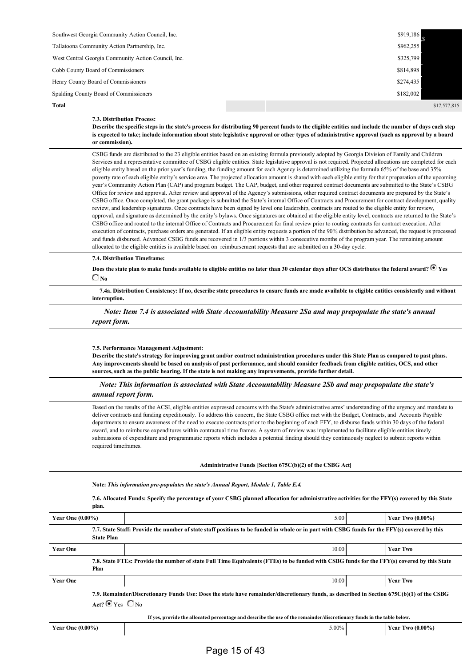| Southwest Georgia Community Action Council, Inc.    | \$919,186    |
|-----------------------------------------------------|--------------|
| Tallatoona Community Action Partnership, Inc.       | \$962,255    |
| West Central Georgia Community Action Council, Inc. | \$325,799    |
| Cobb County Board of Commissioners                  | \$814,898    |
| Henry County Board of Commissioners                 | \$274,435    |
| Spalding County Board of Commissioners              | \$182,002    |
| <b>Total</b>                                        | \$17,577,815 |

#### **7.3. Distribution Process:**

Describe the specific steps in the state's process for distributing 90 percent funds to the eligible entities and include the number of days each step **is expected to take; include information about state legislative approval or other types of administrative approval (such as approval by a board or commission).**

CSBG funds are distributed to the 23 eligible entities based on an existing formula previously adopted by Georgia Division of Family and Children Services and a representative committee of CSBG eligible entities. State legislative approval is not required. Projected allocations are completed for each eligible entity based on the prior year's funding, the funding amount for each Agency is determined utilizing the formula 65% of the base and 35% poverty rate of each eligible entity's service area. The projected allocation amount is shared with each eligible entity for their preparation of the upcoming year's Community Action Plan (CAP) and program budget. The CAP, budget, and other required contract documents are submitted to the State's CSBG Office for review and approval. After review and approval of the Agency's submissions, other required contract documents are prepared by the State's CSBG office. Once completed, the grant package is submitted the State's internal Office of Contracts and Procurement for contract development, quality review, and leadership signatures. Once contracts have been signed by level one leadership, contracts are routed to the eligible entity for review, approval, and signature as determined by the entity's bylaws. Once signatures are obtained at the eligible entity level, contracts are returned to the State's CSBG office and routed to the internal Office of Contracts and Procurement for final review prior to routing contracts for contract execution. After execution of contracts, purchase orders are generated. If an eligible entity requests a portion of the 90% distribution be advanced, the request is processed and funds disbursed. Advanced CSBG funds are recovered in 1/3 portions within 3 consecutive months of the program year. The remaining amount allocated to the eligible entities is available based on reimbursement requests that are submitted on a 30-day cycle.

#### **7.4. Distribution Timeframe:**

Does the state plan to make funds available to eligible entities no later than 30 calendar days after OCS distributes the federal award? <sup>1</sup> Yes **No**

7.4a. Distribution Consistency: If no, describe state procedures to ensure funds are made available to eligible entities consistently and without **interruption.**

*Note: Item 7.4 is associated with State Accountability Measure 2Sa and may prepopulate the state's annual report form.*

#### **7.5. Performance Management Adjustment:**

Describe the state's strategy for improving grant and/or contract administration procedures under this State Plan as compared to past plans. **Any improvements should be based on analysis of past performance, and should consider feedback from eligible entities, OCS, and other sources, such as the public hearing. If the state is not making any improvements, provide further detail.**

### *Note: This information is associated with State Accountability Measure 2Sb and may prepopulate the state's annual report form.*

Based on the results of the ACSI, eligible entities expressed concerns with the State's administrative arms' understanding of the urgency and mandate to deliver contracts and funding expeditiously. To address this concern, the State CSBG office met with the Budget, Contracts, and Accounts Payable departments to ensure awareness of the need to execute contracts prior to the beginning of each FFY, to disburse funds within 30 days of the federal award, and to reimburse expenditures within contractual time frames. A system of review was implemented to facilitate eligible entities timely submissions of expenditure and programmatic reports which includes a potential finding should they continuously neglect to submit reports within required timeframes.

#### **Administrative Funds [Section 675C(b)(2) of the CSBG Act]**

**Note:** *This information pre-populates the state's Annual Report, Module 1, Table E.4.*

7.6. Allocated Funds: Specify the percentage of your CSBG planned allocation for administrative activities for the FFY(s) covered by this State **plan.**

| <b>Year One (0.00%)</b> |                                 | 5.00                                                                                                                                          | <b>Year Two (0.00%)</b> |
|-------------------------|---------------------------------|-----------------------------------------------------------------------------------------------------------------------------------------------|-------------------------|
|                         | <b>State Plan</b>               | 7.7. State Staff: Provide the number of state staff positions to be funded in whole or in part with CSBG funds for the FFY(s) covered by this |                         |
| <b>Year One</b>         |                                 | 10.00                                                                                                                                         | <b>Year Two</b>         |
|                         | Plan                            | 7.8. State FTEs: Provide the number of state Full Time Equivalents (FTEs) to be funded with CSBG funds for the FFY(s) covered by this State   |                         |
| <b>Year One</b>         |                                 | 10.00                                                                                                                                         | <b>Year Two</b>         |
|                         | $Act?$ $\bullet$ Yes $\circ$ No | 7.9. Remainder/Discretionary Funds Use: Does the state have remainder/discretionary funds, as described in Section 675C(b)(1) of the CSBG     |                         |

**If yes, provide the allocated percentage and describe the use of the remainder/discretionary funds in the table below.**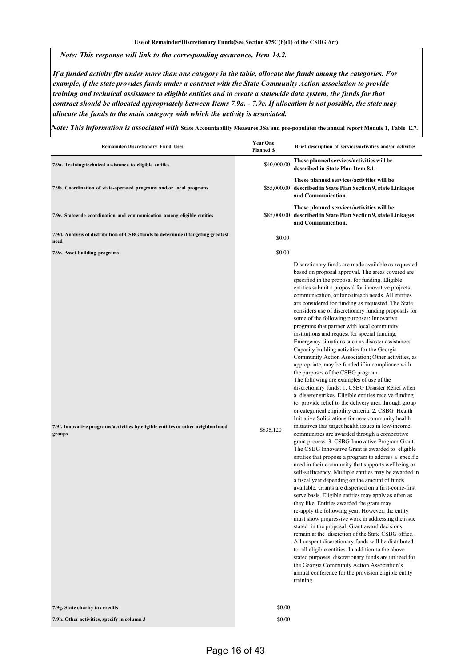*Note: This response will link to the corresponding assurance, Item 14.2.*

*If a funded activity fits under more than one category in the table, allocate the funds among the categories. For example, if the state provides funds under a contract with the State Community Action association to provide training and technical assistance to eligible entities and to create a statewide data system, the funds for that contract should be allocated appropriately between Items 7.9a. - 7.9c. If allocation is not possible, the state may allocate the funds to the main category with which the activity is associated.*

*Note: This information is associated with* **State Accountability Measures 3Sa and pre-populates the annual report Module 1, Table E.7.**

| <b>Remainder/Discretionary Fund Uses</b>                                                  | <b>Year One</b><br><b>Planned S</b> | Brief description of services/activities and/or activities                                                                                                                                                                                                                                                                                                                                                                                                                                                                                                                                                                                                                                                                                                                                                                                                                                                                                                                                                                                                                                                                                                                                                                                                                                                                                                                                                                                                                                                                                                                                                                                                                                                                                                                                                                                                                                                                                                                                                                                                                                                                                                                                                                             |
|-------------------------------------------------------------------------------------------|-------------------------------------|----------------------------------------------------------------------------------------------------------------------------------------------------------------------------------------------------------------------------------------------------------------------------------------------------------------------------------------------------------------------------------------------------------------------------------------------------------------------------------------------------------------------------------------------------------------------------------------------------------------------------------------------------------------------------------------------------------------------------------------------------------------------------------------------------------------------------------------------------------------------------------------------------------------------------------------------------------------------------------------------------------------------------------------------------------------------------------------------------------------------------------------------------------------------------------------------------------------------------------------------------------------------------------------------------------------------------------------------------------------------------------------------------------------------------------------------------------------------------------------------------------------------------------------------------------------------------------------------------------------------------------------------------------------------------------------------------------------------------------------------------------------------------------------------------------------------------------------------------------------------------------------------------------------------------------------------------------------------------------------------------------------------------------------------------------------------------------------------------------------------------------------------------------------------------------------------------------------------------------------|
| 7.9a. Training/technical assistance to eligible entities                                  | \$40,000.00                         | These planned services/activities will be<br>described in State Plan Item 8.1.                                                                                                                                                                                                                                                                                                                                                                                                                                                                                                                                                                                                                                                                                                                                                                                                                                                                                                                                                                                                                                                                                                                                                                                                                                                                                                                                                                                                                                                                                                                                                                                                                                                                                                                                                                                                                                                                                                                                                                                                                                                                                                                                                         |
| 7.9b. Coordination of state-operated programs and/or local programs                       |                                     | These planned services/activities will be<br>\$55,000.00 described in State Plan Section 9, state Linkages<br>and Communication.                                                                                                                                                                                                                                                                                                                                                                                                                                                                                                                                                                                                                                                                                                                                                                                                                                                                                                                                                                                                                                                                                                                                                                                                                                                                                                                                                                                                                                                                                                                                                                                                                                                                                                                                                                                                                                                                                                                                                                                                                                                                                                       |
| 7.9c. Statewide coordination and communication among eligible entities                    |                                     | These planned services/activities will be<br>\$85,000.00 described in State Plan Section 9, state Linkages<br>and Communication.                                                                                                                                                                                                                                                                                                                                                                                                                                                                                                                                                                                                                                                                                                                                                                                                                                                                                                                                                                                                                                                                                                                                                                                                                                                                                                                                                                                                                                                                                                                                                                                                                                                                                                                                                                                                                                                                                                                                                                                                                                                                                                       |
| 7.9d. Analysis of distribution of CSBG funds to determine if targeting greatest<br>need   | \$0.00                              |                                                                                                                                                                                                                                                                                                                                                                                                                                                                                                                                                                                                                                                                                                                                                                                                                                                                                                                                                                                                                                                                                                                                                                                                                                                                                                                                                                                                                                                                                                                                                                                                                                                                                                                                                                                                                                                                                                                                                                                                                                                                                                                                                                                                                                        |
| 7.9e. Asset-building programs                                                             | \$0.00                              |                                                                                                                                                                                                                                                                                                                                                                                                                                                                                                                                                                                                                                                                                                                                                                                                                                                                                                                                                                                                                                                                                                                                                                                                                                                                                                                                                                                                                                                                                                                                                                                                                                                                                                                                                                                                                                                                                                                                                                                                                                                                                                                                                                                                                                        |
| 7.9f. Innovative programs/activities by eligible entities or other neighborhood<br>groups | \$835,120                           | Discretionary funds are made available as requested<br>based on proposal approval. The areas covered are<br>specified in the proposal for funding. Eligible<br>entities submit a proposal for innovative projects,<br>communication, or for outreach needs. All entities<br>are considered for funding as requested. The State<br>considers use of discretionary funding proposals for<br>some of the following purposes: Innovative<br>programs that partner with local community<br>institutions and request for special funding;<br>Emergency situations such as disaster assistance;<br>Capacity building activities for the Georgia<br>Community Action Association; Other activities, as<br>appropriate, may be funded if in compliance with<br>the purposes of the CSBG program.<br>The following are examples of use of the<br>discretionary funds: 1. CSBG Disaster Relief when<br>a disaster strikes. Eligible entities receive funding<br>to provide relief to the delivery area through group<br>or categorical eligibility criteria. 2. CSBG Health<br>Initiative Solicitations for new community health<br>initiatives that target health issues in low-income<br>communities are awarded through a competitive<br>grant process. 3. CSBG Innovative Program Grant.<br>The CSBG Innovative Grant is awarded to eligible<br>entities that propose a program to address a specific<br>need in their community that supports wellbeing or<br>self-sufficiency. Multiple entities may be awarded in<br>a fiscal year depending on the amount of funds<br>available. Grants are dispersed on a first-come-first<br>serve basis. Eligible entities may apply as often as<br>they like. Entities awarded the grant may<br>re-apply the following year. However, the entity<br>must show progressive work in addressing the issue<br>stated in the proposal. Grant award decisions<br>remain at the discretion of the State CSBG office.<br>All unspent discretionary funds will be distributed<br>to all eligible entities. In addition to the above<br>stated purposes, discretionary funds are utilized for<br>the Georgia Community Action Association's<br>annual conference for the provision eligible entity<br>training. |
| 7.9g. State charity tax credits                                                           | \$0.00                              |                                                                                                                                                                                                                                                                                                                                                                                                                                                                                                                                                                                                                                                                                                                                                                                                                                                                                                                                                                                                                                                                                                                                                                                                                                                                                                                                                                                                                                                                                                                                                                                                                                                                                                                                                                                                                                                                                                                                                                                                                                                                                                                                                                                                                                        |
| 7.9h. Other activities, specify in column 3                                               | \$0.00                              |                                                                                                                                                                                                                                                                                                                                                                                                                                                                                                                                                                                                                                                                                                                                                                                                                                                                                                                                                                                                                                                                                                                                                                                                                                                                                                                                                                                                                                                                                                                                                                                                                                                                                                                                                                                                                                                                                                                                                                                                                                                                                                                                                                                                                                        |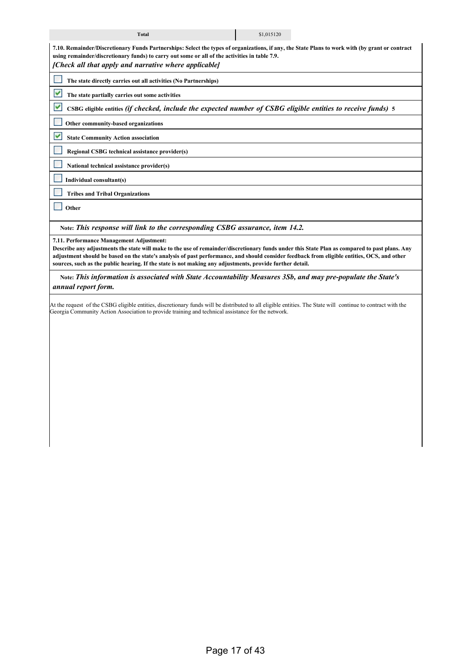| <b>Total</b><br>\$1,015120                                                                                                                                                                                                                                                                                                                                                                                                                           |
|------------------------------------------------------------------------------------------------------------------------------------------------------------------------------------------------------------------------------------------------------------------------------------------------------------------------------------------------------------------------------------------------------------------------------------------------------|
| 7.10. Remainder/Discretionary Funds Partnerships: Select the types of organizations, if any, the State Plans to work with (by grant or contract<br>using remainder/discretionary funds) to carry out some or all of the activities in table 7.9.<br>[Check all that apply and narrative where applicable]                                                                                                                                            |
| The state directly carries out all activities (No Partnerships)                                                                                                                                                                                                                                                                                                                                                                                      |
| The state partially carries out some activities                                                                                                                                                                                                                                                                                                                                                                                                      |
| ⊻<br>CSBG eligible entities (if checked, include the expected number of CSBG eligible entities to receive funds) 5                                                                                                                                                                                                                                                                                                                                   |
| Other community-based organizations                                                                                                                                                                                                                                                                                                                                                                                                                  |
| <b>State Community Action association</b>                                                                                                                                                                                                                                                                                                                                                                                                            |
| Regional CSBG technical assistance provider(s)                                                                                                                                                                                                                                                                                                                                                                                                       |
| National technical assistance provider(s)                                                                                                                                                                                                                                                                                                                                                                                                            |
| Individual consultant(s)                                                                                                                                                                                                                                                                                                                                                                                                                             |
| <b>Tribes and Tribal Organizations</b>                                                                                                                                                                                                                                                                                                                                                                                                               |
| Other                                                                                                                                                                                                                                                                                                                                                                                                                                                |
| Note: This response will link to the corresponding CSBG assurance, item 14.2.                                                                                                                                                                                                                                                                                                                                                                        |
| 7.11. Performance Management Adjustment:<br>Describe any adjustments the state will make to the use of remainder/discretionary funds under this State Plan as compared to past plans. Any<br>adjustment should be based on the state's analysis of past performance, and should consider feedback from eligible entities, OCS, and other<br>sources, such as the public hearing. If the state is not making any adjustments, provide further detail. |
| Note: This information is associated with State Accountability Measures 3Sb, and may pre-populate the State's                                                                                                                                                                                                                                                                                                                                        |

Î.

## *annual report form.*

At the request of the CSBG eligible entities, discretionary funds will be distributed to all eligible entities. The State will continue to contract with the Georgia Community Action Association to provide training and technical assistance for the network.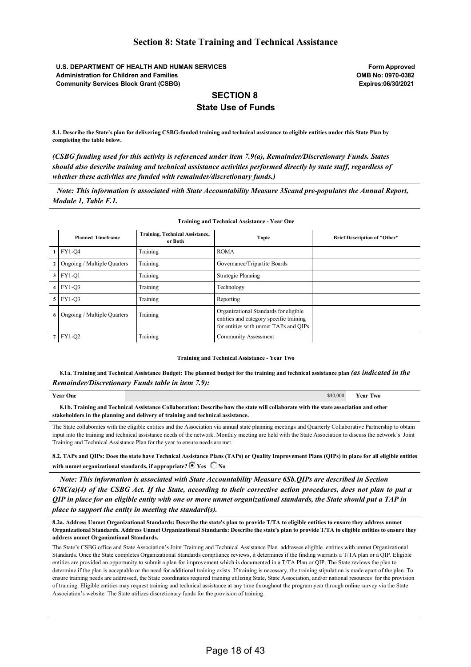#### <span id="page-17-0"></span>U.S. DEPARTMENT OF HEALTH AND HUMAN SERVICES **Form** Approved **Form** Approved **Form** Approved **Administration** for Children and Families **Administration for Children and Families OMB No: 0970-0382 Community Services Block Grant (CSBG)**

# **SECTION 8 State Use of Funds**

8.1. Describe the State's plan for delivering CSBG-funded training and technical assistance to eligible entities under this State Plan by **completing the table below.**

*(CSBG funding used for this activity is referenced under item 7.9(a), Remainder/Discretionary Funds. States should also describe training and technical assistance activities performed directly by state staff, regardless of whether these activities are funded with remainder/discretionary funds.)*

*Note: This information is associated with State Accountability Measure 3Scand pre-populates the Annual Report, Module 1, Table F.1.*

| Training and Technical Assistance - Tear One |                                                   |                                                                                                                           |                                     |  |  |  |
|----------------------------------------------|---------------------------------------------------|---------------------------------------------------------------------------------------------------------------------------|-------------------------------------|--|--|--|
| <b>Planned Timeframe</b>                     | <b>Training, Technical Assistance,</b><br>or Both | <b>Topic</b>                                                                                                              | <b>Brief Description of "Other"</b> |  |  |  |
| 1 FY1-04                                     | Training                                          | <b>ROMA</b>                                                                                                               |                                     |  |  |  |
| 2 Ongoing / Multiple Quarters                | Training                                          | Governance/Tripartite Boards                                                                                              |                                     |  |  |  |
| $3$ FY1-O1                                   | Training                                          | Strategic Planning                                                                                                        |                                     |  |  |  |
| 4 FY1-03                                     | Training                                          | Technology                                                                                                                |                                     |  |  |  |
| 5 FY1-03                                     | Training                                          | Reporting                                                                                                                 |                                     |  |  |  |
| 6 Ongoing / Multiple Quarters                | Training                                          | Organizational Standards for eligible<br>entities and category specific training<br>for entities with unmet TAPs and OIPs |                                     |  |  |  |
| 7 FY1-O2                                     | Training                                          | <b>Community Assessment</b>                                                                                               |                                     |  |  |  |

### **Training and Technical Assistance - Year One**

#### **Training and Technical Assistance - Year Two**

**8.1a. Training and Technical Assistance Budget: The planned budget for the training and technical assistance plan** *(as indicated in the Remainder/Discretionary Funds table in item 7.9):*

| <b>Year One</b> |  |  |  |  | 340,000 | <b>Vear Two</b> |
|-----------------|--|--|--|--|---------|-----------------|
|                 |  |  |  |  |         |                 |

8.1b. Training and Technical Assistance Collaboration: Describe how the state will collaborate with the state association and other **stakeholders in the planning and delivery of training and technical assistance.**

The State collaborates with the eligible entities and the Association via annual state planning meetings and Quarterly Collaborative Partnership to obtain input into the training and technical assistance needs of the network. Monthly meeting are held with the State Association to discuss the network's Joint Training and Technical Assistance Plan for the year to ensure needs are met.

**8.2. TAPs and QIPs: Does the state have Technical Assistance Plans (TAPs) or Quality Improvement Plans (QIPs) in place for all eligible entities** with unmet organizational standards, if appropriate?  $\bullet$  Yes  $\bullet$  No

*Note: This information is associated with State Accountability Measure 6Sb.QIPs are described in Section*  $678C(a)(4)$  of the CSBG Act. If the State, according to their corrective action procedures, does not plan to put a *QIP in place for an eligible entity with one or more unmet organizational standards, the State should put a TAP in place to support the entity in meeting the standard(s).*

**8.2a. Address Unmet Organizational Standards: Describe the state's plan to provide T/TA to eligible entities to ensure they address unmet** Organizational Standards. Address Unmet Organizational Standards: Describe the state's plan to provide T/TA to eligible entities to ensure they **address unmet Organizational Standards.** 

The State's CSBG office and State Association's Joint Training and Technical Assistance Plan addresses eligible entities with unmet Organizational Standards. Once the State completes Organizational Standards compliance reviews, it determines if the finding warrants a T/TA plan or a QIP. Eligible entities are provided an opportunity to submit a plan for improvement which is documented in a T/TA Plan or QIP. The State reviews the plan to determine if the plan is acceptable or the need for additional training exists. If training is necessary, the training stipulation is made apart of the plan. To ensure training needs are addressed, the State coordinates required training utilizing State, State Association, and/or national resources for the provision of training. Eligible entities may request training and technical assistance at any time throughout the program year through online survey via the State Association's website. The State utilizes discretionary funds for the provision of training.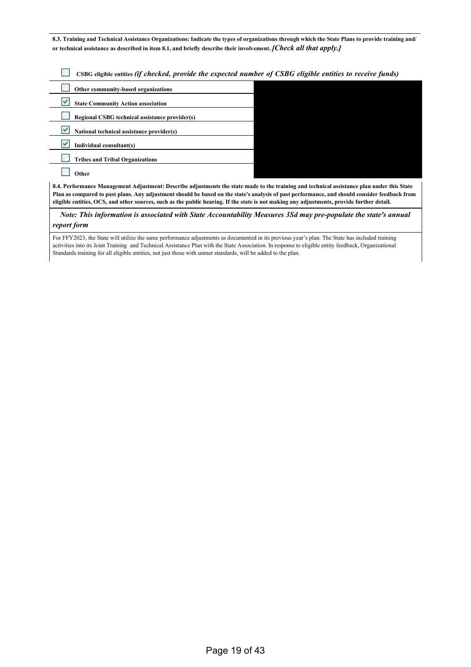8.3. Training and Technical Assistance Organizations: Indicate the types of organizations through which the State Plans to provide training and/ **or technical assistance as described in item 8.1, and briefly describe their involvement.** *[Check all that apply.]*

**CSBG eligible entities** *(if checked, provide the expected number of CSBG eligible entities to receive funds)*

| Other community-based organizations                                                                                                        |  |
|--------------------------------------------------------------------------------------------------------------------------------------------|--|
| <b>State Community Action association</b>                                                                                                  |  |
| Regional CSBG technical assistance provider(s)                                                                                             |  |
| National technical assistance provider(s)                                                                                                  |  |
| Individual consultant(s)                                                                                                                   |  |
| <b>Tribes and Tribal Organizations</b>                                                                                                     |  |
| Other                                                                                                                                      |  |
| 8.4. Performance Management Adjustment: Describe adjustments the state made to the training and technical assistance plan under this State |  |

Plan as compared to past plans. Any adjustment should be based on the state's analysis of past performance, and should consider feedback from **eligible entities, OCS, and other sources, such as the public hearing. If the state is not making any adjustments, provide further detail.**

*Note: This information is associated with State Accountability Measures 3Sd may pre-populate the state's annual report form*

For FFY2023, the State will utilize the same performance adjustments as documented in its previous year's plan. The State has included training activities into its Joint Training and Technical Assistance Plan with the State Association. In response to eligible entity feedback, Organizational Standards training for all eligible entities, not just those with unmet standards, will be added to the plan.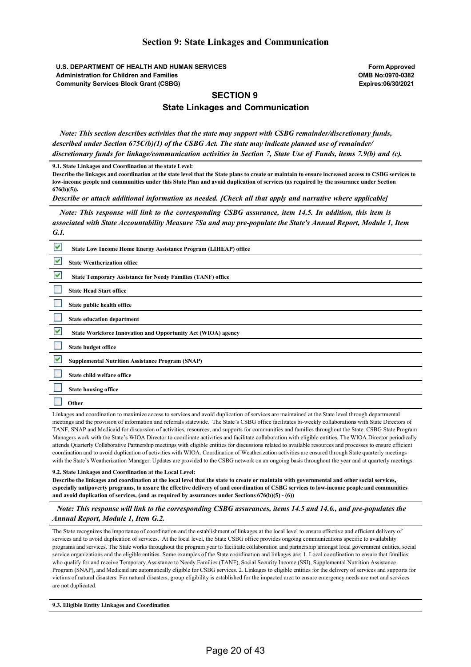**Section 9: State Linkages and Communication**

<span id="page-19-0"></span>U.S. DEPARTMENT OF HEALTH AND HUMAN SERVICES **Form** Approved **Form Approved Form Approved Administration** for Children and Families **Administration for Children and Families Community Services Block Grant (CSBG) Expires:06/30/2021**

## **SECTION 9**

## **State Linkages and Communication**

*Note: This section describes activities that the state may support with CSBG remainder/discretionary funds, described under Section 675C(b)(1) of the CSBG Act. The state may indicate planned use of remainder/ discretionary funds for linkage/communication activities in Section 7, State Use of Funds, items 7.9(b) and (c).*

**9.1. State Linkages and Coordination at the state Level:**

Describe the linkages and coordination at the state level that the State plans to create or maintain to ensure increased access to CSBG services to **low-income people and communities under this State Plan and avoid duplication of services (as required by the assurance under Section 676(b)(5)).**

*Describe or attach additional information as needed. [Check all that apply and narrative where applicable]*

*Note: This response will link to the corresponding CSBG assurance, item 14.5. In addition, this item is associated with State Accountability Measure 7Sa and may pre-populate the State's Annual Report, Module 1, Item G.1.*

|   | <b>State Low Income Home Energy Assistance Program (LIHEAP) office</b> |
|---|------------------------------------------------------------------------|
|   | <b>State Weatherization office</b>                                     |
| M | <b>State Temporary Assistance for Needy Families (TANF) office</b>     |
|   | <b>State Head Start office</b>                                         |
|   | State public health office                                             |
|   | <b>State education department</b>                                      |
|   |                                                                        |
|   | <b>State Workforce Innovation and Opportunity Act (WIOA) agency</b>    |
|   | State budget office                                                    |
|   | <b>Supplemental Nutrition Assistance Program (SNAP)</b>                |
|   | State child welfare office                                             |
|   | <b>State housing office</b>                                            |

Linkages and coordination to maximize access to services and avoid duplication of services are maintained at the State level through departmental meetings and the provision of information and referrals statewide. The State's CSBG office facilitates bi-weekly collaborations with State Directors of TANF, SNAP and Medicaid for discussion of activities, resources, and supports for communities and families throughout the State. CSBG State Program Managers work with the State's WIOA Director to coordinate activities and facilitate collaboration with eligible entities. The WIOA Director periodically attends Quarterly Collaborative Partnership meetings with eligible entities for discussions related to available resources and processes to ensure efficient coordination and to avoid duplication of activities with WIOA. Coordination of Weatherization activities are ensured through State quarterly meetings with the State's Weatherization Manager. Updates are provided to the CSBG network on an ongoing basis throughout the year and at quarterly meetings.

**9.2. State Linkages and Coordination at the Local Level:**

**Describe the linkages and coordination at the local level that the state to create or maintain with governmental and other social services,** especially antipoverty programs, to assure the effective delivery of and coordination of CSBG services to low-income people and communities **and avoid duplication of services, (and as required by assurances under Sections 676(b)(5) - (6))**

### *Note: This response will link to the corresponding CSBG assurances, items 14.5 and 14.6., and pre-populates the Annual Report, Module 1, Item G.2.*

The State recognizes the importance of coordination and the establishment of linkages at the local level to ensure effective and efficient delivery of services and to avoid duplication of services. At the local level, the State CSBG office provides ongoing communications specific to availability programs and services. The State works throughout the program year to facilitate collaboration and partnership amongst local government entities, social service organizations and the eligible entities. Some examples of the State coordination and linkages are: 1. Local coordination to ensure that families who qualify for and receive Temporary Assistance to Needy Families (TANF), Social Security Income (SSI), Supplemental Nutrition Assistance Program (SNAP), and Medicaid are automatically eligible for CSBG services. 2. Linkages to eligible entities for the delivery of services and supports for victims of natural disasters. For natural disasters, group eligibility is established for the impacted area to ensure emergency needs are met and services are not duplicated.

**9.3. Eligible Entity Linkages and Coordination**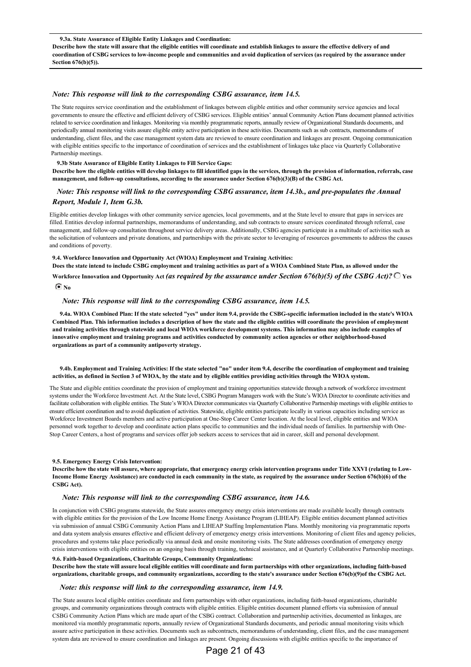**9.3a. State Assurance of Eligible Entity Linkages and Coordination:**

**Describe how the state will assure that the eligible entities will coordinate and establish linkages to assure the effective delivery of and** coordination of CSBG services to low-income people and communities and avoid duplication of services (as required by the assurance under **Section 676(b)(5)).** 

#### *Note: This response will link to the corresponding CSBG assurance, item 14.5.*

The State requires service coordination and the establishment of linkages between eligible entities and other community service agencies and local governments to ensure the effective and efficient delivery of CSBG services. Eligible entities' annual Community Action Plans document planned activities related to service coordination and linkages. Monitoring via monthly programmatic reports, annually review of Organizational Standards documents, and periodically annual monitoring visits assure eligible entity active participation in these activities. Documents such as sub contracts, memorandums of understanding, client files, and the case management system data are reviewed to ensure coordination and linkages are present. Ongoing communication with eligible entities specific to the importance of coordination of services and the establishment of linkages take place via Quarterly Collaborative Partnership meetings.

### **9.3b State Assurance of Eligible Entity Linkages to Fill Service Gaps:**

Describe how the eligible entities will develop linkages to fill identified gaps in the services, through the provision of information, referrals, case **management, and follow-up consultations, according to the assurance under Section 676(b)(3)(B) of the CSBG Act.**

### *Note: This response will link to the corresponding CSBG assurance, item 14.3b., and pre-populates the Annual Report, Module 1, Item G.3b.*

Eligible entities develop linkages with other community service agencies, local governments, and at the State level to ensure that gaps in services are filled. Entities develop informal partnerships, memorandums of understanding, and sub contracts to ensure services coordinated through referral, case management, and follow-up consultation throughout service delivery areas. Additionally, CSBG agencies participate in a multitude of activities such as the solicitation of volunteers and private donations, and partnerships with the private sector to leveraging of resources governments to address the causes and conditions of poverty.

#### **9.4. Workforce Innovation and Opportunity Act (WIOA) Employment and Training Activities: Does the state intend to include CSBG employment and training activities as part of a WIOA Combined State Plan, as allowed under the**

**Workforce Innovation and Opportunity Act** *(as required by the assurance under Section 676(b)(5) of the CSBG Act)?* **Yes**

**No**

#### *Note: This response will link to the corresponding CSBG assurance, item 14.5.*

9.4a. WIOA Combined Plan: If the state selected "yes" under item 9.4, provide the CSBG-specific information included in the state's WIOA **Combined Plan. This information includes a description of how the state and the eligible entities will coordinate the provision of employment and training activities through statewide and local WIOA workforce development systems. This information may also include examples of innovative employment and training programs and activities conducted by community action agencies or other neighborhood-based organizations as part of a community antipoverty strategy.**

#### 9.4b. Employment and Training Activities: If the state selected "no" under item 9.4, describe the coordination of employment and training **activities, as defined in Section 3 of WIOA, by the state and by eligible entities providing activities through the WIOA system.**

The State and eligible entities coordinate the provision of employment and training opportunities statewide through a network of workforce investment systems under the Workforce Investment Act. At the State level, CSBG Program Managers work with the State's WIOA Director to coordinate activities and facilitate collaboration with eligible entities. The State's WIOA Director communicates via Quarterly Collaborative Partnership meetings with eligible entities to ensure efficient coordination and to avoid duplication of activities. Statewide, eligible entities participate locally in various capacities including service as Workforce Investment Boards members and active participation at One-Stop Career Center location. At the local level, eligible entities and WIOA personnel work together to develop and coordinate action plans specific to communities and the individual needs of families. In partnership with One-Stop Career Centers, a host of programs and services offer job seekers access to services that aid in career, skill and personal development.

#### **9.5. Emergency Energy Crisis Intervention:**

Describe how the state will assure, where appropriate, that emergency energy crisis intervention programs under Title XXVI (relating to Low-**Income Home Energy Assistance) are conducted in each community in the state, as required by the assurance under Section 676(b)(6) of the CSBG Act).** 

#### *Note: This response will link to the corresponding CSBG assurance, item 14.6.*

In conjunction with CSBG programs statewide, the State assures emergency energy crisis interventions are made available locally through contracts with eligible entities for the provision of the Low Income Home Energy Assistance Program (LIHEAP). Eligible entities document planned activities via submission of annual CSBG Community Action Plans and LIHEAP Staffing Implementation Plans. Monthly monitoring via programmatic reports and data system analysis ensures effective and efficient delivery of emergency energy crisis interventions. Monitoring of client files and agency policies, procedures and systems take place periodically via annual desk and onsite monitoring visits. The State addresses coordination of emergency energy crisis interventions with eligible entities on an ongoing basis through training, technical assistance, and at Quarterly Collaborative Partnership meetings.

## **9.6. Faith-based Organizations, Charitable Groups, Community Organizations:**

Describe how the state will assure local eligible entities will coordinate and form partnerships with other organizations, including faith-based **organizations, charitable groups, and community organizations, according to the state's assurance under Section 676(b)(9)of the CSBG Act.**

#### *Note: this response will link to the corresponding assurance, item 14.9.*

The State assures local eligible entities coordinate and form partnerships with other organizations, including faith-based organizations, charitable groups, and community organizations through contracts with eligible entities. Eligible entities document planned efforts via submission of annual CSBG Community Action Plans which are made apart of the CSBG contract. Collaboration and partnership activities, documented as linkages, are monitored via monthly programmatic reports, annually review of Organizational Standards documents, and periodic annual monitoring visits which assure active participation in these activities. Documents such as subcontracts, memorandums of understanding, client files, and the case management system data are reviewed to ensure coordination and linkages are present. Ongoing discussions with eligible entities specific to the importance of

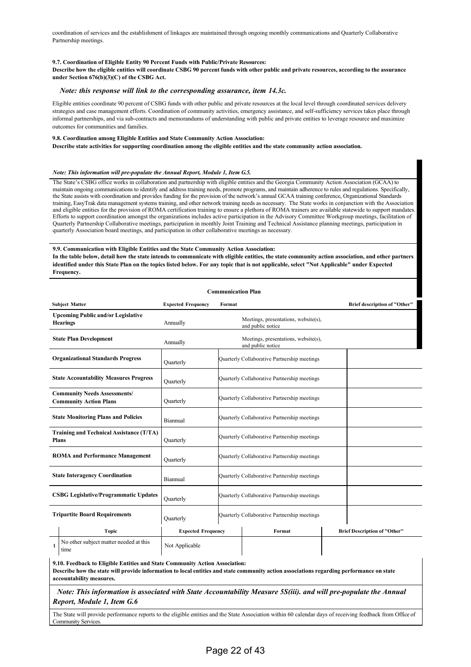coordination of services and the establishment of linkages are maintained through ongoing monthly communications and Quarterly Collaborative Partnership meetings.

#### **9.7. Coordination of Eligible Entity 90 Percent Funds with Public/Private Resources:**

Describe how the eligible entities will coordinate CSBG 90 percent funds with other public and private resources, according to the assurance **under Section 676(b)(3)(C) of the CSBG Act.**

#### *Note: this response will link to the corresponding assurance, item 14.3c.*

Eligible entities coordinate 90 percent of CSBG funds with other public and private resources at the local level through coordinated services delivery strategies and case management efforts. Coordination of community activities, emergency assistance, and self-sufficiency services takes place through informal partnerships, and via sub-contracts and memorandums of understanding with public and private entities to leverage resource and maximize outcomes for communities and families.

#### **9.8. Coordination among Eligible Entities and State Community Action Association:**

**Describe state activities for supporting coordination among the eligible entities and the state community action association.**

#### *Note: This information will pre-populate the Annual Report, Module 1, Item G.5.*

The State's CSBG office works in collaboration and partnership with eligible entities and the Georgia Community Action Association (GCAA) to maintain ongoing communications to identify and address training needs, promote programs, and maintain adherence to rules and regulations. Specifically, the State assists with coordination and provides funding for the provision of the network's annual GCAA training conference, Organizational Standards training, EasyTrak data management systems training, and other network training needs as necessary. The State works in conjunction with the Association and eligible entities for the provision of ROMA certification training to ensure a plethora of ROMA trainers are available statewide to support mandates. Efforts to support coordination amongst the organizations includes active participation in the Advisory Committee Workgroup meetings, facilitation of Quarterly Partnership Collaborative meetings, participation in monthly Joint Training and Technical Assistance planning meetings, participation in quarterly Association board meetings, and participation in other collaborative meetings as necessary.

#### **9.9. Communication with Eligible Entities and the State Community Action Association:**

In the table below, detail how the state intends to communicate with eligible entities, the state community action association, and other partners **identified under this State Plan on the topics listed below. For any topic that is not applicable, select "Not Applicable" under Expected Frequency.**

| <b>Communication Plan</b>                                                                                                                                                                                                                           |                           |                                              |                                                           |                                     |  |
|-----------------------------------------------------------------------------------------------------------------------------------------------------------------------------------------------------------------------------------------------------|---------------------------|----------------------------------------------|-----------------------------------------------------------|-------------------------------------|--|
| <b>Subject Matter</b>                                                                                                                                                                                                                               | <b>Expected Frequency</b> | Format                                       |                                                           | <b>Brief description of "Other"</b> |  |
| <b>Upcoming Public and/or Legislative</b><br><b>Hearings</b>                                                                                                                                                                                        | Annually                  |                                              | Meetings, presentations, website(s),<br>and public notice |                                     |  |
| <b>State Plan Development</b><br>Annually                                                                                                                                                                                                           |                           |                                              | Meetings, presentations, website(s),<br>and public notice |                                     |  |
| <b>Organizational Standards Progress</b>                                                                                                                                                                                                            | Quarterly                 |                                              | Quarterly Collaborative Partnership meetings              |                                     |  |
| <b>State Accountability Measures Progress</b>                                                                                                                                                                                                       | Quarterly                 |                                              | Quarterly Collaborative Partnership meetings              |                                     |  |
| <b>Community Needs Assessments/</b><br><b>Community Action Plans</b>                                                                                                                                                                                | Quarterly                 |                                              | Quarterly Collaborative Partnership meetings              |                                     |  |
| <b>State Monitoring Plans and Policies</b>                                                                                                                                                                                                          | Biannual                  |                                              | Quarterly Collaborative Partnership meetings              |                                     |  |
| <b>Training and Technical Assistance (T/TA)</b><br><b>Plans</b>                                                                                                                                                                                     | Quarterly                 | Quarterly Collaborative Partnership meetings |                                                           |                                     |  |
| <b>ROMA</b> and Performance Management                                                                                                                                                                                                              | Quarterly                 |                                              | Quarterly Collaborative Partnership meetings              |                                     |  |
| <b>State Interagency Coordination</b>                                                                                                                                                                                                               | Biannual                  |                                              | Quarterly Collaborative Partnership meetings              |                                     |  |
| <b>CSBG Legislative/Programmatic Updates</b>                                                                                                                                                                                                        | <b>Quarterly</b>          |                                              | Quarterly Collaborative Partnership meetings              |                                     |  |
| <b>Tripartite Board Requirements</b>                                                                                                                                                                                                                | Quarterly                 | Quarterly Collaborative Partnership meetings |                                                           |                                     |  |
| <b>Topic</b>                                                                                                                                                                                                                                        | <b>Expected Frequency</b> |                                              | Format                                                    | <b>Brief Description of "Other"</b> |  |
| No other subject matter needed at this<br>1<br>time                                                                                                                                                                                                 | Not Applicable            |                                              |                                                           |                                     |  |
| 9.10. Feedback to Eligible Entities and State Community Action Association:<br>Describe how the state will provide information to local entities and state community action associations regarding performance on state<br>accountability measures. |                           |                                              |                                                           |                                     |  |
| Note: This information is associated with State Accountability Measure 5S(iii). and will pre-populate the Annual<br>Report, Module 1, Item G.6                                                                                                      |                           |                                              |                                                           |                                     |  |

The State will provide performance reports to the eligible entities and the State Association within 60 calendar days of receiving feedback from Office of Community Services.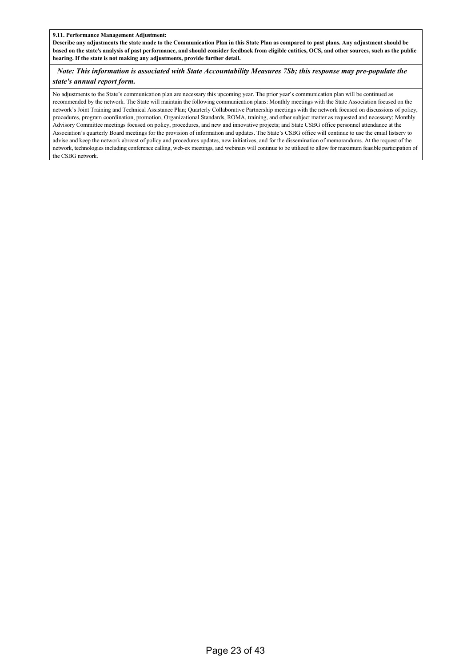#### **9.11. Performance Management Adjustment:**

**Describe any adjustments the state made to the Communication Plan in this State Plan as compared to past plans. Any adjustment should be** based on the state's analysis of past performance, and should consider feedback from eligible entities, OCS, and other sources, such as the public **hearing. If the state is not making any adjustments, provide further detail.**

### *Note: This information is associated with State Accountability Measures 7Sb; this response may pre-populate the state's annual report form.*

No adjustments to the State's communication plan are necessary this upcoming year. The prior year's communication plan will be continued as recommended by the network. The State will maintain the following communication plans: Monthly meetings with the State Association focused on the network's Joint Training and Technical Assistance Plan; Quarterly Collaborative Partnership meetings with the network focused on discussions of policy, procedures, program coordination, promotion, Organizational Standards, ROMA, training, and other subject matter as requested and necessary; Monthly Advisory Committee meetings focused on policy, procedures, and new and innovative projects; and State CSBG office personnel attendance at the Association's quarterly Board meetings for the provision of information and updates. The State's CSBG office will continue to use the email listserv to advise and keep the network abreast of policy and procedures updates, new initiatives, and for the dissemination of memorandums. At the request of the network, technologies including conference calling, web-ex meetings, and webinars will continue to be utilized to allow for maximum feasible participation of the CSBG network.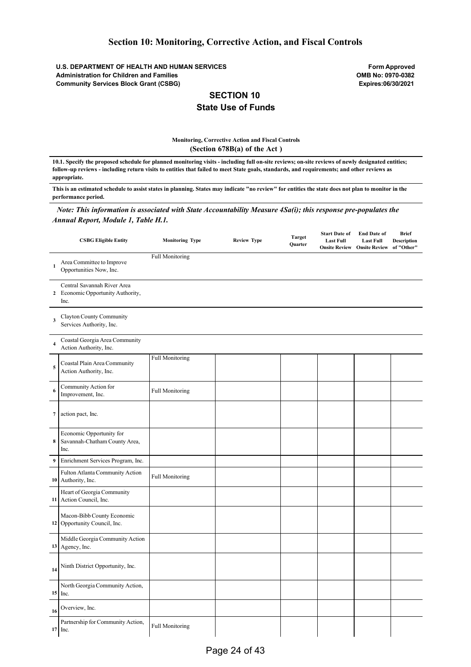<span id="page-23-0"></span>U.S. DEPARTMENT OF HEALTH AND HUMAN SERVICES<br>
Administration for Children and Families<br> **Administration for Children and Families Administration for Children and Families OMB No: 0970-0382 Community Services Block Grant (CSBG)** 

# **SECTION 10 State Use of Funds**

### **Monitoring, Corrective Action and Fiscal Controls (Section 678B(a) of the Act )**

10.1. Specify the proposed schedule for planned monitoring visits - including full on-site reviews; on-site reviews of newly designated entities; **follow-up reviews - including return visits to entities that failed to meet State goals, standards, and requirements; and other reviews as appropriate.**

This is an estimated schedule to assist states in planning. States may indicate "no review" for entities the state does not plan to monitor in the **performance period.**

*Note: This information is associated with State Accountability Measure 4Sa(i); this response pre-populates the Annual Report, Module 1, Table H.1.*

|                         | <b>CSBG Eligible Entity</b>                                              | <b>Monitoring Type</b> | <b>Review Type</b> | <b>Target</b><br><b>Ouarter</b> | <b>Start Date of</b><br><b>Last Full</b><br><b>Onsite Review</b> | <b>End Date of</b><br><b>Last Full</b><br><b>Onsite Review</b> | Brief<br>Description<br>of "Other" |
|-------------------------|--------------------------------------------------------------------------|------------------------|--------------------|---------------------------------|------------------------------------------------------------------|----------------------------------------------------------------|------------------------------------|
| 1                       | Area Committee to Improve<br>Opportunities Now, Inc.                     | <b>Full Monitoring</b> |                    |                                 |                                                                  |                                                                |                                    |
|                         | Central Savannah River Area<br>2 Economic Opportunity Authority,<br>Inc. |                        |                    |                                 |                                                                  |                                                                |                                    |
| 3                       | Clayton County Community<br>Services Authority, Inc.                     |                        |                    |                                 |                                                                  |                                                                |                                    |
| $\overline{\mathbf{4}}$ | Coastal Georgia Area Community<br>Action Authority, Inc.                 |                        |                    |                                 |                                                                  |                                                                |                                    |
| 5                       | Coastal Plain Area Community<br>Action Authority, Inc.                   | <b>Full Monitoring</b> |                    |                                 |                                                                  |                                                                |                                    |
| 6                       | Community Action for<br>Improvement, Inc.                                | <b>Full Monitoring</b> |                    |                                 |                                                                  |                                                                |                                    |
| 7                       | action pact, Inc.                                                        |                        |                    |                                 |                                                                  |                                                                |                                    |
| 8                       | Economic Opportunity for<br>Savannah-Chatham County Area,<br>Inc.        |                        |                    |                                 |                                                                  |                                                                |                                    |
| 9                       | Enrichment Services Program, Inc.                                        |                        |                    |                                 |                                                                  |                                                                |                                    |
|                         | Fulton Atlanta Community Action<br>10 Authority, Inc.                    | <b>Full Monitoring</b> |                    |                                 |                                                                  |                                                                |                                    |
| 11                      | Heart of Georgia Community<br>Action Council, Inc.                       |                        |                    |                                 |                                                                  |                                                                |                                    |
|                         | Macon-Bibb County Economic<br>12 Opportunity Council, Inc.               |                        |                    |                                 |                                                                  |                                                                |                                    |
|                         | Middle Georgia Community Action<br>13 Agency, Inc.                       |                        |                    |                                 |                                                                  |                                                                |                                    |
| 14                      | Ninth District Opportunity, Inc.                                         |                        |                    |                                 |                                                                  |                                                                |                                    |
|                         | North Georgia Community Action,<br>15 Inc.                               |                        |                    |                                 |                                                                  |                                                                |                                    |
| 16                      | Overview, Inc.                                                           |                        |                    |                                 |                                                                  |                                                                |                                    |
| 17                      | Partnership for Community Action,<br>Inc.                                | <b>Full Monitoring</b> |                    |                                 |                                                                  |                                                                |                                    |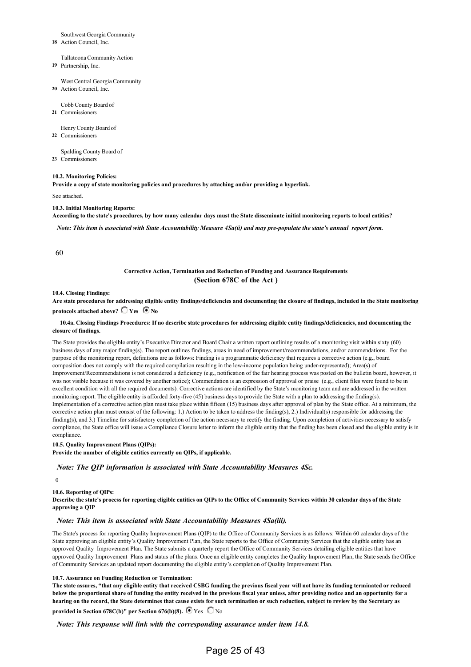Southwest Georgia Community

**18** Action Council, Inc.

**19** Partnership, Inc. Tallatoona Community Action

West Central Georgia Community

**20** Action Council, Inc.

Cobb County Board of

**21** Commissioners

**22** Commissioners Henry County Board of

**23** Commissioners Spalding County Board of

**10.2. Monitoring Policies:**

**Provide a copy of state monitoring policies and procedures by attaching and/or providing a hyperlink.**

See attached.

#### **10.3. Initial Monitoring Reports:**

**According to the state's procedures, by how many calendar days must the State disseminate initial monitoring reports to local entities?**

*Note: This item is associated with State Accountability Measure 4Sa(ii) and may pre-populate the state's annual report form.*

60

#### **Corrective Action, Termination and Reduction of Funding and Assurance Requirements (Section 678C of the Act )**

#### **10.4. Closing Findings:**

**Are state procedures for addressing eligible entity findings/deficiencies and documenting the closure of findings, included in the State monitoring protocols** attached above?  $\bigcirc$  Yes  $\bigcirc$  No

#### 10.4a. Closing Findings Procedures: If no describe state procedures for addressing eligible entity findings/deficiencies, and documenting the **closure of findings.**

The State provides the eligible entity's Executive Director and Board Chair a written report outlining results of a monitoring visit within sixty (60) business days of any major finding(s). The report outlines findings, areas in need of improvement/recommendations, and/or commendations. For the purpose of the monitoring report, definitions are as follows: Finding is a programmatic deficiency that requires a corrective action (e.g., board composition does not comply with the required compilation resulting in the low-income population being under-represented); Area(s) of Improvement/Recommendations is not considered a deficiency (e.g., notification of the fair hearing process was posted on the bulletin board, however, it was not visible because it was covered by another notice); Commendation is an expression of approval or praise (e.g., client files were found to be in excellent condition with all the required documents). Corrective actions are identified by the State's monitoring team and are addressed in the written monitoring report. The eligible entity is afforded forty-five (45) business days to provide the State with a plan to addressing the finding(s). Implementation of a corrective action plan must take place within fifteen (15) business days after approval of plan by the State office. At a minimum, the corrective action plan must consist of the following: 1.) Action to be taken to address the finding(s), 2.) Individual(s) responsible for addressing the finding(s), and 3.) Timeline for satisfactory completion of the action necessary to rectify the finding. Upon completion of activities necessary to satisfy compliance, the State office will issue a Compliance Closure letter to inform the eligible entity that the finding has been closed and the eligible entity is in compliance.

**10.5. Quality Improvement Plans (QIPs):**

**Provide the number of eligible entities currently on QIPs, if applicable.**

### *Note: The QIP information is associated with State Accountability Measures 4Sc.*

 $\theta$ 

**10.6. Reporting of QIPs:**

Describe the state's process for reporting eligible entities on QIPs to the Office of Community Services within 30 calendar days of the State **approving a QIP**

#### *Note: This item is associated with State Accountability Measures 4Sa(iii).*

The State's process for reporting Quality Improvement Plans (QIP) to the Office of Community Services is as follows: Within 60 calendar days of the State approving an eligible entity's Quality Improvement Plan, the State reports to the Office of Community Services that the eligible entity has an approved Quality Improvement Plan. The State submits a quarterly report the Office of Community Services detailing eligible entities that have approved Quality Improvement Plans and status of the plans. Once an eligible entity completes the Quality Improvement Plan, the State sends the Office of Community Services an updated report documenting the eligible entity's completion of Quality Improvement Plan.

#### **10.7. Assurance on Funding Reduction or Termination:**

The state assures, "that any eligible entity that received CSBG funding the previous fiscal year will not have its funding terminated or reduced **below the proportional share of funding the entity received in the previous fiscal year unless, after providing notice and an opportunity for a hearing on the record, the State determines that cause exists for such termination or such reduction, subject to review by the Secretary as provided** in Section 678C(b)" per Section 676(b)(8).  $\bullet$  Yes  $\bullet$  No

*Note: This response will link with the corresponding assurance under item 14.8.*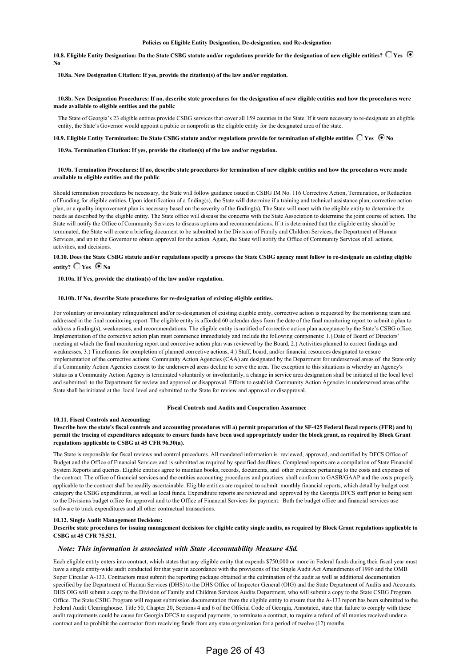10.8. Eligible Entity Designation: Do the State CSBG statute and/or regulations provide for the designation of new eligible entities?  $\bigcirc$  Yes  $\,\circledast\,$ **No**

**10.8a. New Designation Citation: If yes, provide the citation(s) of the law and/or regulation.**

10.8b. New Designation Procedures: If no, describe state procedures for the designation of new eligible entities and how the procedures were **made available to eligible entities and the public**

The State of Georgia's 23 eligible entities provide CSBG services that cover all 159 counties in the State. If it were necessary to re-designate an eligible entity, the State's Governor would appoint a public or nonprofit as the eligible entity for the designated area of the state.

### **10.9. Eligible Entity Termination: Do State CSBG statute and/or regulations provide for termination of eligible entities Yes No**

**10.9a. Termination Citation: If yes, provide the citation(s) of the law and/or regulation.**

#### 10.9b. Termination Procedures: If no, describe state procedures for termination of new eligible entities and how the procedures were made **available to eligible entities and the public**

Should termination procedures be necessary, the State will follow guidance issued in CSBG IM No. 116 Corrective Action, Termination, or Reduction of Funding for eligible entities. Upon identification of a finding(s), the State will determine if a training and technical assistance plan, corrective action plan, or a quality improvement plan is necessary based on the severity of the finding(s). The State will meet with the eligible entity to determine the needs as described by the eligible entity. The State office will discuss the concerns with the State Association to determine the joint course of action. The State will notify the Office of Community Services to discuss options and recommendations. If it is determined that the eligible entity should be terminated, the State will create a briefing document to be submitted to the Division of Family and Children Services, the Department of Human Services, and up to the Governor to obtain approval for the action. Again, the State will notify the Office of Community Services of all actions, activities, and decisions.

### **10.10. Does the State CSBG statute and/or regulations specify a process the State CSBG agency must follow to re-designate an existing eligible entity?**  $\Box$  **Yes**  $\Box$  **No**

#### **10.10a. If Yes, provide the citation(s) of the law and/or regulation.**

#### **10.10b. If No, describe State procedures for re-designation of existing eligible entities.**

For voluntary or involuntary relinquishment and/or re-designation of existing eligible entity, corrective action is requested by the monitoring team and addressed in the final monitoring report. The eligible entity is afforded 60 calendar days from the date of the final monitoring report to submit a plan to address a finding(s), weaknesses, and recommendations. The eligible entity is notified of corrective action plan acceptance by the State's CSBG office. Implementation of the corrective action plan must commence immediately and include the following components: 1.) Date of Board of Directors' meeting at which the final monitoring report and corrective action plan was reviewed by the Board, 2.) Activities planned to correct findings and weaknesses, 3.) Timeframes for completion of planned corrective actions, 4.) Staff, board, and/or financial resources designated to ensure implementation of the corrective actions. Community Action Agencies (CAA) are designated by the Department for underserved areas of the State only if a Community Action Agencies closest to the underserved areas decline to serve the area. The exception to this situations is whereby an Agency's status as a Community Action Agency is terminated voluntarily or involuntarily, a change in service area designation shall be initiated at the local level and submitted to the Department for review and approval or disapproval. Efforts to establish Community Action Agencies in underserved areas of the State shall be initiated at the local level and submitted to the State for review and approval or disapproval.

#### **Fiscal Controls and Audits and Cooperation Assurance**

#### **10.11. Fiscal Controls and Accounting:**

#### Describe how the state's fiscal controls and accounting procedures will a) permit preparation of the SF-425 Federal fiscal reports (FFR) and b) **permit the tracing of expenditures adequate to ensure funds have been used appropriately under the block grant, as required by Block Grant regulations applicable to CSBG at 45 CFR 96.30(a).**

The State is responsible for fiscal reviews and control procedures. All mandated information is reviewed, approved, and certified by DFCS Office of Budget and the Office of Financial Services and is submitted as required by specified deadlines. Completed reports are a compilation of State Financial System Reports and queries. Eligible entities agree to maintain books, records, documents, and other evidence pertaining to the costs and expenses of the contract. The office of financial services and the entities accounting procedures and practices shall conform to GASB/GAAP and the costs properly applicable to the contract shall be readily ascertainable. Eligible entities are required to submit monthly financial reports, which detail by budget cost category the CSBG expenditures, as well as local funds. Expenditure reports are reviewed and approved by the Georgia DFCS staff prior to being sent to the Divisions budget office for approval and to the Office of Financial Services for payment. Both the budget office and financial services use software to track expenditures and all other contractual transactions.

#### **10.12. Single Audit Management Decisions:**

Describe state procedures for issuing management decisions for eligible entity single audits, as required by Block Grant regulations applicable to **CSBG a[t 45 CFR 75.521.](https://www.law.cornell.edu/cfr/text/45/75.521)**

#### *Note: This information is associated with State Accountability Measure 4Sd.*

Each eligible entity enters into contract, which states that any eligible entity that expends \$750,000 or more in Federal funds during their fiscal year must have a single entity-wide audit conducted for that year in accordance with the provisions of the Single Audit Act Amendments of 1996 and the OMB Super Circular A-133. Contractors must submit the reporting package obtained at the culmination of the audit as well as additional documentation specified by the Department of Human Services (DHS) to the DHS Office of Inspector General (OIG) and the State Department of Audits and Accounts. DHS OIG will submit a copy to the Division of Family and Children Services Audits Department, who will submit a copy to the State CSBG Program Office. The State CSBG Program will request submission documentation from the eligible entity to ensure that the A-133 report has been submitted to the Federal Audit Clearinghouse. Title 50, Chapter 20, Sections 4 and 6 of the Official Code of Georgia, Annotated, state that failure to comply with these audit requirements could be cause for Georgia DFCS to suspend payments, to terminate a contract, to require a refund of all monies received under a contract and to prohibit the contractor from receiving funds from any state organization for a period of twelve (12) months.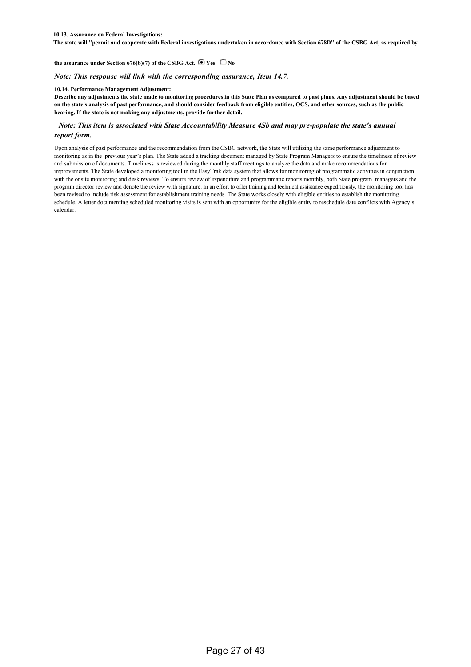**The state will "permit and cooperate with Federal investigations undertaken in accordance with Section 678D" of the CSBG Act, as required by**

the assurance under Section 676(b)(7) of the CSBG Act.  $\bullet$  Yes  $\bullet$  No

### *Note: This response will link with the corresponding assurance, Item 14.7.*

#### **10.14. Performance Management Adjustment:**

Describe any adjustments the state made to monitoring procedures in this State Plan as compared to past plans. Any adjustment should be based **on the state's analysis of past performance, and should consider feedback from eligible entities, OCS, and other sources, such as the public hearing. If the state is not making any adjustments, provide further detail.**

### *Note: This item is associated with State Accountability Measure 4Sb and may pre-populate the state's annual report form.*

Upon analysis of past performance and the recommendation from the CSBG network, the State will utilizing the same performance adjustment to monitoring as in the previous year's plan. The State added a tracking document managed by State Program Managers to ensure the timeliness of review and submission of documents. Timeliness is reviewed during the monthly staff meetings to analyze the data and make recommendations for improvements. The State developed a monitoring tool in the EasyTrak data system that allows for monitoring of programmatic activities in conjunction with the onsite monitoring and desk reviews. To ensure review of expenditure and programmatic reports monthly, both State program managers and the program director review and denote the review with signature. In an effort to offer training and technical assistance expeditiously, the monitoring tool has been revised to include risk assessment for establishment training needs. The State works closely with eligible entities to establish the monitoring schedule. A letter documenting scheduled monitoring visits is sent with an opportunity for the eligible entity to reschedule date conflicts with Agency's calendar.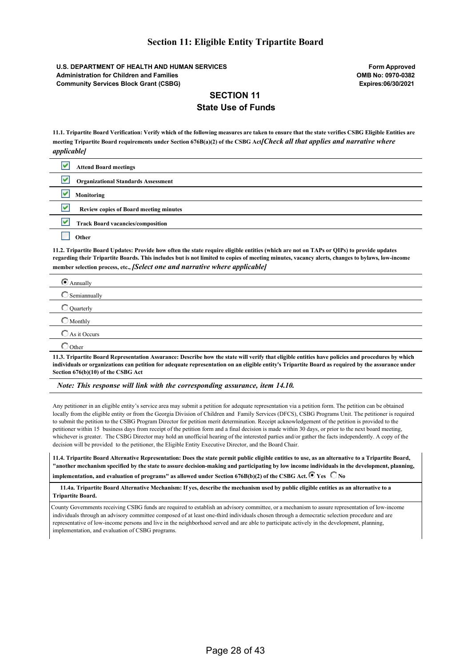<span id="page-27-0"></span>U.S. DEPARTMENT OF HEALTH AND HUMAN SERVICES<br>Administration for Children and Families<br>Administration for Children and Families **Administration for Children and Families OMB No: 0970-0382 Community Services Block Grant (CSBG)** 

# **SECTION 11 State Use of Funds**

11.1. Tripartite Board Verification: Verify which of the following measures are taken to ensure that the state verifies CSBG Eligible Entities are **meeting Tripartite Board requirements under Section 676B(a)(2) of the CSBG Act***[Check all that applies and narrative where applicable]*

| <b>Attend Board meetings</b>                  |
|-----------------------------------------------|
| <b>Organizational Standards Assessment</b>    |
| Monitoring                                    |
| <b>Review copies of Board meeting minutes</b> |
| <b>Track Board vacancies/composition</b>      |
| Other                                         |

**11.2. Tripartite Board Updates: Provide how often the state require eligible entities (which are not on TAPs or QIPs) to provide updates** regarding their Tripartite Boards. This includes but is not limited to copies of meeting minutes, vacancy alerts, changes to bylaws, low-income **member selection process, etc.,** *[Select one and narrative where applicable]*

| $\odot$ Annually                                                                                                                               |
|------------------------------------------------------------------------------------------------------------------------------------------------|
| Semiannually                                                                                                                                   |
| <b>C</b> Quarterly                                                                                                                             |
| $\Box$ Monthly                                                                                                                                 |
| As it Occurs                                                                                                                                   |
| $\bigcirc$ Other                                                                                                                               |
| 11.2. Twinowith Doord Donnocontation Acquirement Doconibo how the state will would that eligible entities how policies and precedures by which |

**11.3. Tripartite Board Representation Assurance: Describe how the state will verify that eligible entities have policies and procedures by which** individuals or organizations can petition for adequate representation on an eligible entity's Tripartite Board as required by the assurance under **Section 676(b)(10) of the CSBG Act**

*Note: This response will link with the corresponding assurance, item 14.10.*

Any petitioner in an eligible entity's service area may submit a petition for adequate representation via a petition form. The petition can be obtained locally from the eligible entity or from the Georgia Division of Children and Family Services (DFCS), CSBG Programs Unit. The petitioner is required to submit the petition to the CSBG Program Director for petition merit determination. Receipt acknowledgement of the petition is provided to the petitioner within 15 business days from receipt of the petition form and a final decision is made within 30 days, or prior to the next board meeting, whichever is greater. The CSBG Director may hold an unofficial hearing of the interested parties and/or gather the facts independently. A copy of the decision will be provided to the petitioner, the Eligible Entity Executive Director, and the Board Chair.

**11.4. Tripartite Board Alternative Representation: Does the state permit public eligible entities to use, as an alternative to a Tripartite Board,** "another mechanism specified by the state to assure decision-making and participating by low income individuals in the development, planning, **implementation, and evaluation of programs" as allowed under Section 676B(b)(2) of the CSBG Act. Yes No**

11.4a. Tripartite Board Alternative Mechanism: If yes, describe the mechanism used by public eligible entities as an alternative to a **Tripartite Board.**

County Governments receiving CSBG funds are required to establish an advisory committee, or a mechanism to assure representation of low-income individuals through an advisory committee composed of at least one-third individuals chosen through a democratic selection procedure and are representative of low-income persons and live in the neighborhood served and are able to participate actively in the development, planning, implementation, and evaluation of CSBG programs.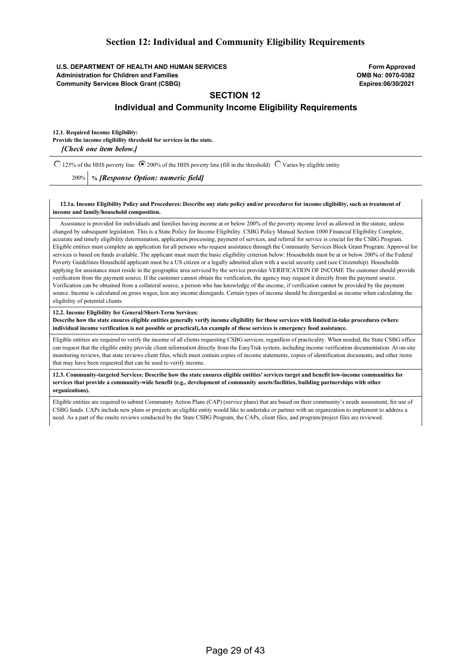## **Section 12: Individual and Community Eligibility Requirements**

<span id="page-28-0"></span>U.S. DEPARTMENT OF HEALTH AND HUMAN SERVICES<br>Administration for Children and Families<br>Administration for Children and Families **Administration for Children and Families OMB No: 0970-0382 Community Services Block Grant (CSBG)** 

## **SECTION 12**

## **Individual and Community Income Eligibility Requirements**

**12.1. Required Income Eligibility: Provide the income eligibility threshold for services in the state.** *[Check one item below.]*

 $\bigcirc$  125% of the HHS poverty line  $\bigcirc$  200% of the HHS poverty line (fill in the threshold)  $\bigcirc$  Varies by eligible entity

200% **%** *[Response Option: numeric field]*

12.1a. Income Eligibility Policy and Procedures: Describe any state policy and/or procedures for income eligibility, such as treatment of **income and family/household composition.**

Assistance is provided for individuals and families having income at or below 200% of the poverty income level as allowed in the statute, unless changed by subsequent legislation. This is a State Policy for Income Eligibility. CSBG Policy Manual Section 1000 Financial Eligibility Complete, accurate and timely eligibility determination, application processing, payment of services, and referral for service is crucial for the CSBG Program. Eligible entities must complete an application for all persons who request assistance through the Community Services Block Grant Program. Approval for services is based on funds available. The applicant must meet the basic eligibility criterion below: Households must be at or below 200% of the Federal Poverty Guidelines Household applicant must be a US citizen or a legally admitted alien with a social security card (see Citizenship). Households applying for assistance must reside in the geographic area serviced by the service provider VERIFICATION OF INCOME The customer should provide verification from the payment source. If the customer cannot obtain the verification, the agency may request it directly from the payment source. Verification can be obtained from a collateral source, a person who has knowledge of the income, if verification cannot be provided by the payment source. Income is calculated on gross wages, less any income disregards. Certain types of income should be disregarded as income when calculating the eligibility of potential clients.

**12.2. Income Eligibility for General/Short-Term Services:**

Describe how the state ensures eligible entities generally verify income eligibility for those services with limited in-take procedures (where **individual income verification is not possible or practical),An example of these services is emergency food assistance.**

Eligible entities are required to verify the income of all clients requesting CSBG services, regardless of practicality. When needed, the State CSBG office can request that the eligible entity provide client information directly from the EasyTrak system, including income verification documentation. At on-site monitoring reviews, that state reviews client files, which must contain copies of income statements, copies of identification documents, and other items that may have been requested that can be used to verify income.

12.3. Community-targeted Services: Describe how the state ensures eligible entities' services target and benefit low-income communities for **services that provide a community-wide benefit (e.g., development of community assets/facilities, building partnerships with other organizations).**

Eligible entities are required to submit Community Action Plans (CAP) (service plans) that are based on their community's needs assessment, for use of CSBG funds. CAPs include new plans or projects an eligible entity would like to undertake or partner with an organization to implement to address a need. As a part of the onsite reviews conducted by the State CSBG Program, the CAPs, client files, and program/project files are reviewed.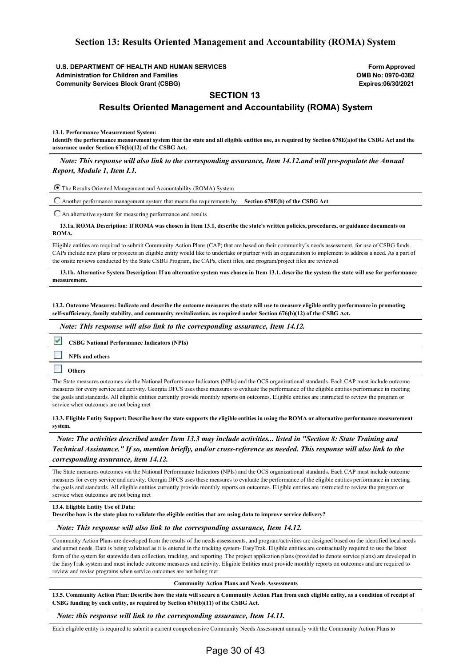# **Section 13: Results Oriented Management and Accountability (ROMA) System**

<span id="page-29-0"></span>U.S. DEPARTMENT OF HEALTH AND HUMAN SERVICES **Form** Approved **Form** Approved **Form** Approved **Administration** for Children and Families **Administration for Children and Families Community Services Block Grant (CSBG) Expires:06/30/2021**

## **SECTION 13**

### **Results Oriented Management and Accountability (ROMA) System**

**13.1. Performance Measurement System:**

Identify the performance measurement system that the state and all eligible entities use, as required by Section 678E(a)of the CSBG Act and the **assurance under Section 676(b)(12) of the CSBG Act.**

*Note: This response will also link to the corresponding assurance, Item 14.12.and will pre-populate the Annual Report, Module 1, Item I.1.*

The Results Oriented Management and Accountability (ROMA) System

Another performance management system that meets the requirements by **Section 678E(b) of the CSBG Act**

An alternative system for measuring performance and results

13.1a. ROMA Description: If ROMA was chosen in Item 13.1, describe the state's written policies, procedures, or guidance documents on **ROMA.**

Eligible entities are required to submit Community Action Plans (CAP) that are based on their community's needs assessment, for use of CSBG funds. CAPs include new plans or projects an eligible entity would like to undertake or partner with an organization to implement to address a need. As a part of the onsite reviews conducted by the State CSBG Program, the CAPs, client files, and program/project files are reviewed

13.1b. Alternative System Description: If an alternative system was chosen in Item 13.1, describe the system the state will use for performance **measurement.**

**13.2. Outcome Measures: Indicate and describe the outcome measures the state will use to measure eligible entity performance in promoting self-sufficiency, family stability, and community revitalization, as required under Section 676(b)(12) of the CSBG Act.**

*Note: This response will also link to the corresponding assurance, Item 14.12.*

| CSBG National Performance Indicators (NPIs) |
|---------------------------------------------|
| NPIs and others                             |
| $\Box$ Others                               |

The State measures outcomes via the National Performance Indicators (NPIs) and the OCS organizational standards. Each CAP must include outcome measures for every service and activity. Georgia DFCS uses these measures to evaluate the performance of the eligible entities performance in meeting the goals and standards. All eligible entities currently provide monthly reports on outcomes. Eligible entities are instructed to review the program or service when outcomes are not being met

13.3. Eligible Entity Support: Describe how the state supports the eligible entities in using the ROMA or alternative performance measurement **system.**

*Note: The activities described under Item 13.3 may include activities... listed in "Section 8: State Training and Technical Assistance." If so, mention briefly, and/or cross-reference as needed. This response will also link to the corresponding assurance, item 14.12.*

The State measures outcomes via the National Performance Indicators (NPIs) and the OCS organizational standards. Each CAP must include outcome measures for every service and activity. Georgia DFCS uses these measures to evaluate the performance of the eligible entities performance in meeting the goals and standards. All eligible entities currently provide monthly reports on outcomes. Eligible entities are instructed to review the program or service when outcomes are not being met

**13.4. Eligible Entity Use of Data:**

**Describe how is the state plan to validate the eligible entities that are using data to improve service delivery?**

#### *Note: This response will also link to the corresponding assurance, Item 14.12.*

Community Action Plans are developed from the results of the needs assessments, and program/activities are designed based on the identified local needs and unmet needs. Data is being validated as it is entered in the tracking system- EasyTrak. Eligible entities are contractually required to use the latest form of the system for statewide data collection, tracking, and reporting. The project application plans (provided to denote service plans) are developed in the EasyTrak system and must include outcome measures and activity. Eligible Entities must provide monthly reports on outcomes and are required to review and revise programs when service outcomes are not being met.

**Community Action Plans and Needs Assessments**

13.5. Community Action Plan: Describe how the state will secure a Community Action Plan from each eligible entity, as a condition of receipt of **CSBG funding by each entity, as required by Section 676(b)(11) of the CSBG Act.**

*Note: this response will link to the corresponding assurance, Item 14.11.*

Each eligible entity is required to submit a current comprehensive Community Needs Assessment annually with the Community Action Plans to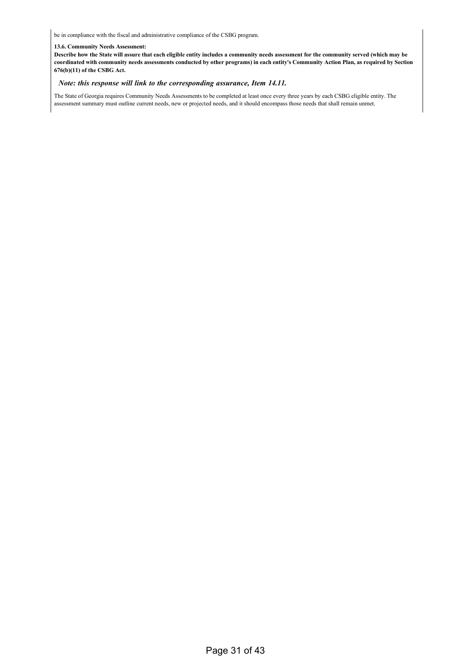be in compliance with the fiscal and administrative compliance of the CSBG program.

#### **13.6. Community Needs Assessment:**

**Describe how the State will assure that each eligible entity includes a community needs assessment for the community served (which may be** coordinated with community needs assessments conducted by other programs) in each entity's Community Action Plan, as required by Section **676(b)(11) of the CSBG Act.**

### *Note: this response will link to the corresponding assurance, Item 14.11.*

The State of Georgia requires Community Needs Assessments to be completed at least once every three years by each CSBG eligible entity. The assessment summary must outline current needs, new or projected needs, and it should encompass those needs that shall remain unmet.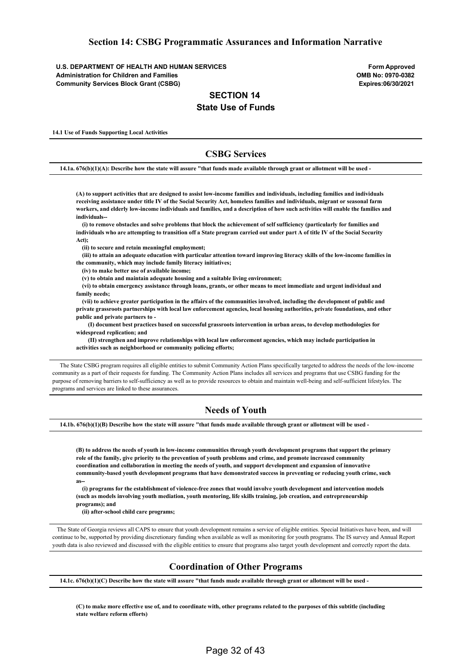## **Section 14: CSBG Programmatic Assurances and Information Narrative**

<span id="page-31-0"></span>U.S. DEPARTMENT OF HEALTH AND HUMAN SERVICES **Form** Approved **Form** Approved **Form** Approved **Administration** for Children and Families **Administration for Children and Families OMB No: 0970-0382 Community Services Block Grant (CSBG)** 

# **SECTION 14 State Use of Funds**

**14.1 Use of Funds Supporting Local Activities**

# **CSBG Services**

**14.1a. 676(b)(1)(A): Describe how the state will assure "that funds made available through grant or allotment will be used -** 

**(A) to support activities that are designed to assist low-income families and individuals, including families and individuals receiving assistance under title IV of the Social Security Act, homeless families and individuals, migrant or seasonal farm** workers, and elderly low-income individuals and families, and a description of how such activities will enable the families and **individuals--**

**(i) to remove obstacles and solve problems that block the achievement of self sufficiency (particularly for families and** individuals who are attempting to transition off a State program carried out under part A of title IV of the Social Security **Act);**

**(ii) to secure and retain meaningful employment;**

(iii) to attain an adequate education with particular attention toward improving literacy skills of the low-income families in **the community, which may include family literacy initiatives;**

**(iv) to make better use of available income;**

**(v) to obtain and maintain adequate housing and a suitable living environment;**

(vi) to obtain emergency assistance through loans, grants, or other means to meet immediate and urgent individual and **family needs;**

**(vii) to achieve greater participation in the affairs of the communities involved, including the development of public and** private grassroots partnerships with local law enforcement agencies, local housing authorities, private foundations, and other **public and private partners to -** 

(I) document best practices based on successful grassroots intervention in urban areas, to develop methodologies for **widespread replication; and**

**(II) strengthen and improve relationships with local law enforcement agencies, which may include participation in activities such as neighborhood or community policing efforts;**

The State CSBG program requires all eligible entities to submit Community Action Plans specifically targeted to address the needs of the low-income community as a part of their requests for funding. The Community Action Plans includes all services and programs that use CSBG funding for the purpose of removing barriers to self-sufficiency as well as to provide resources to obtain and maintain well-being and self-sufficient lifestyles. The programs and services are linked to these assurances.

## **Needs of Youth**

**14.1b. 676(b)(1)(B) Describe how the state will assure "that funds made available through grant or allotment will be used -** 

(B) to address the needs of youth in low-income communities through youth development programs that support the primary **role of the family, give priority to the prevention of youth problems and crime, and promote increased community coordination and collaboration in meeting the needs of youth, and support development and expansion of innovative community-based youth development programs that have demonstrated success in preventing or reducing youth crime, such as--**

(i) programs for the establishment of violence-free zones that would involve youth development and intervention models **(such as models involving youth mediation, youth mentoring, life skills training, job creation, and entrepreneurship programs); and**

**(ii) after-school child care programs;**

The State of Georgia reviews all CAPS to ensure that youth development remains a service of eligible entities. Special Initiatives have been, and will continue to be, supported by providing discretionary funding when available as well as monitoring for youth programs. The IS survey and Annual Report youth data is also reviewed and discussed with the eligible entities to ensure that programs also target youth development and correctly report the data.

### **Coordination of Other Programs**

**14.1c. 676(b)(1)(C) Describe how the state will assure "that funds made available through grant or allotment will be used -** 

**(C) to make more effective use of, and to coordinate with, other programs related to the purposes of this subtitle (including state welfare reform efforts)**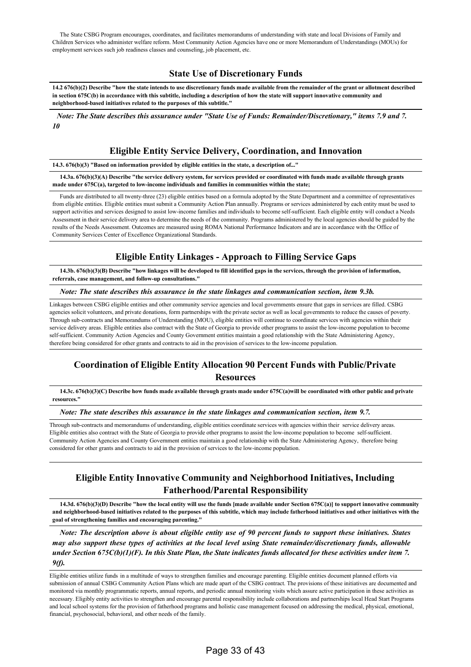The State CSBG Program encourages, coordinates, and facilitates memorandums of understanding with state and local Divisions of Family and Children Services who administer welfare reform. Most Community Action Agencies have one or more Memorandum of Understandings (MOUs) for employment services such job readiness classes and counseling, job placement, etc.

## **State Use of Discretionary Funds**

14.2 676(b)(2) Describe "how the state intends to use discretionary funds made available from the remainder of the grant or allotment described **in section 675C(b) in accordance with this subtitle, including a description of how the state will support innovative community and neighborhood-based initiatives related to the purposes of this subtitle."**

*Note: The State describes this assurance under "State Use of Funds: Remainder/Discretionary," items 7.9 and 7. 10*

## **Eligible Entity Service Delivery, Coordination, and Innovation**

**14.3. 676(b)(3) "Based on information provided by eligible entities in the state, a description of..."**

14.3a. 676(b)(3)(A) Describe "the service delivery system, for services provided or coordinated with funds made available through grants **made under 675C(a), targeted to low-income individuals and families in communities within the state;**

Funds are distributed to all twenty-three (23) eligible entities based on a formula adopted by the State Department and a committee of representatives from eligible entities. Eligible entities must submit a Community Action Plan annually. Programs or services administered by each entity must be used to support activities and services designed to assist low-income families and individuals to become self-sufficient. Each eligible entity will conduct a Needs Assessment in their service delivery area to determine the needs of the community. Programs administered by the local agencies should be guided by the results of the Needs Assessment. Outcomes are measured using ROMA National Performance Indicators and are in accordance with the Office of Community Services Center of Excellence Organizational Standards.

# **Eligible Entity Linkages - Approach to Filling Service Gaps**

 $14.3b. 676(b)(3)(B)$  Describe "how linkages will be developed to fill identified gaps in the services, through the provision of information, **referrals, case management, and follow-up consultations."**

### *Note: The state describes this assurance in the state linkages and communication section, item 9.3b.*

Linkages between CSBG eligible entities and other community service agencies and local governments ensure that gaps in services are filled. CSBG agencies solicit volunteers, and private donations, form partnerships with the private sector as well as local governments to reduce the causes of poverty. Through sub-contracts and Memorandums of Understanding (MOU), eligible entities will continue to coordinate services with agencies within their service delivery areas. Eligible entities also contract with the State of Georgia to provide other programs to assist the low-income population to become self-sufficient. Community Action Agencies and County Government entities maintain a good relationship with the State Administering Agency, therefore being considered for other grants and contracts to aid in the provision of services to the low-income population.

# **Coordination of Eligible Entity Allocation 90 Percent Funds with Public/Private Resources**

14.3c. 676(b)(3)(C) Describe how funds made available through grants made under 675C(a)will be coordinated with other public and private **resources."**

### *Note: The state describes this assurance in the state linkages and communication section, item 9.7.*

Through sub-contracts and memorandums of understanding, eligible entities coordinate services with agencies within their service delivery areas. Eligible entities also contract with the State of Georgia to provide other programs to assist the low-income population to become self-sufficient. Community Action Agencies and County Government entities maintain a good relationship with the State Administering Agency, therefore being considered for other grants and contracts to aid in the provision of services to the low-income population.

# **Eligible Entity Innovative Community and Neighborhood Initiatives, Including Fatherhood/Parental Responsibility**

14.3d.  $676(b)(3)(D)$  Describe "how the local entity will use the funds [made available under Section  $675C(a)$ ] to support innovative community and neighborhood-based initiatives related to the purposes of this subtitle, which may include fatherhood initiatives and other initiatives with the **goal of strengthening families and encouraging parenting."**

Note: The description above is about eligible entity use of 90 percent funds to support these initiatives. States may also support these types of activities at the local level using State remainder/discretionary funds, allowable *under Section 675C(b)(1)(F). In this State Plan, the State indicates funds allocated for these activities under item 7. 9(f).*

Eligible entities utilize funds in a multitude of ways to strengthen families and encourage parenting. Eligible entities document planned efforts via submission of annual CSBG Community Action Plans which are made apart of the CSBG contract. The provisions of these initiatives are documented and monitored via monthly programmatic reports, annual reports, and periodic annual monitoring visits which assure active participation in these activities as necessary. Eligibly entity activities to strengthen and encourage parental responsibility include collaborations and partnerships local Head Start Programs and local school systems for the provision of fatherhood programs and holistic case management focused on addressing the medical, physical, emotional, financial, psychosocial, behavioral, and other needs of the family.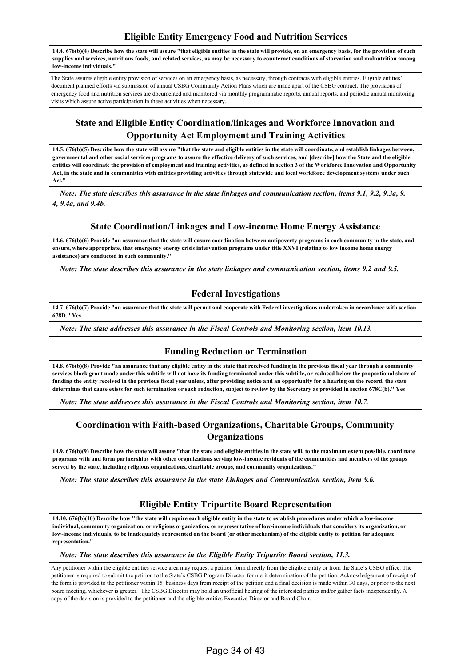14.4. 676(b)(4) Describe how the state will assure "that eligible entities in the state will provide, on an emergency basis, for the provision of such supplies and services, nutritious foods, and related services, as may be necessary to counteract conditions of starvation and malnutrition among **low-income individuals."**

The State assures eligible entity provision of services on an emergency basis, as necessary, through contracts with eligible entities. Eligible entities' document planned efforts via submission of annual CSBG Community Action Plans which are made apart of the CSBG contract. The provisions of emergency food and nutrition services are documented and monitored via monthly programmatic reports, annual reports, and periodic annual monitoring visits which assure active participation in these activities when necessary.

# **State and Eligible Entity Coordination/linkages and Workforce Innovation and Opportunity Act Employment and Training Activities**

**14.5. 676(b)(5) Describe how the state will assure "that the state and eligible entities in the state will coordinate, and establish linkages between, governmental and other social services programs to assure the effective delivery of such services, and [describe] how the State and the eligible** entities will coordinate the provision of employment and training activities, as defined in section 3 of the Workforce Innovation and Opportunity **Act, in the state and in communities with entities providing activities through statewide and local workforce development systems under such Act."**

*Note: The state describes this assurance in the state linkages and communication section, items 9.1, 9.2, 9.3a, 9. 4, 9.4a, and 9.4b.*

# **State Coordination/Linkages and Low-income Home Energy Assistance**

14.6. 676(b)(6) Provide "an assurance that the state will ensure coordination between antipoverty programs in each community in the state, and **ensure, where appropriate, that emergency energy crisis intervention programs under title XXVI (relating to low income home energy assistance) are conducted in such community."**

Note: The state describes this assurance in the state linkages and communication section, items 9.2 and 9.5.

# **Federal Investigations**

14.7. 676(b)(7) Provide "an assurance that the state will permit and cooperate with Federal investigations undertaken in accordance with section **678D." Yes**

*Note: The state addresses this assurance in the Fiscal Controls and Monitoring section, item 10.13.*

# **Funding Reduction or Termination**

**14.8. 676(b)(8) Provide "an assurance that any eligible entity in the state that received funding in the previous fiscal year through a community** services block grant made under this subtitle will not have its funding terminated under this subtitle, or reduced below the proportional share of **funding the entity received in the previous fiscal year unless, after providing notice and an opportunity for a hearing on the record, the state determines that cause exists for such termination or such reduction, subject to review by the Secretary as provided in section 678C(b)." Yes**

*Note: The state addresses this assurance in the Fiscal Controls and Monitoring section, item 10.7.*

# **Coordination with Faith-based Organizations, Charitable Groups, Community Organizations**

14.9. 676(b)(9) Describe how the state will assure "that the state and eligible entities in the state will, to the maximum extent possible, coordinate **programs with and form partnerships with other organizations serving low-income residents of the communities and members of the groups served by the state, including religious organizations, charitable groups, and community organizations."**

*Note: The state describes this assurance in the state Linkages and Communication section, item 9.6.*

# **Eligible Entity Tripartite Board Representation**

**14.10. 676(b)(10) Describe how "the state will require each eligible entity in the state to establish procedures under which a low-income** individual, community organization, or religious organization, or representative of low-income individuals that considers its organization, or **low-income individuals, to be inadequately represented on the board (or other mechanism) of the eligible entity to petition for adequate representation."**

### *Note: The state describes this assurance in the Eligible Entity Tripartite Board section, 11.3.*

Any petitioner within the eligible entities service area may request a petition form directly from the eligible entity or from the State's CSBG office. The petitioner is required to submit the petition to the State's CSBG Program Director for merit determination of the petition. Acknowledgement of receipt of the form is provided to the petitioner within 15 business days from receipt of the petition and a final decision is made within 30 days, or prior to the next board meeting, whichever is greater. The CSBG Director may hold an unofficial hearing of the interested parties and/or gather facts independently. A copy of the decision is provided to the petitioner and the eligible entities Executive Director and Board Chair.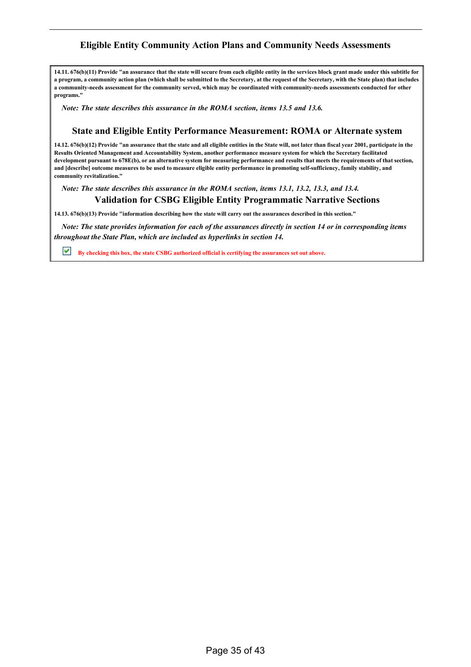# **Eligible Entity Community Action Plans and Community Needs Assessments**

14.11. 676(b)(11) Provide "an assurance that the state will secure from each eligible entity in the services block grant made under this subtitle for a program, a community action plan (which shall be submitted to the Secretary, at the request of the Secretary, with the State plan) that includes **a community-needs assessment for the community served, which may be coordinated with community-needs assessments conducted for other programs."**

*Note: The state describes this assurance in the ROMA section, items 13.5 and 13.6.*

# **State and Eligible Entity Performance Measurement: ROMA or Alternate system**

14.12. 676(b)(12) Provide "an assurance that the state and all eligible entities in the State will, not later than fiscal year 2001, participate in the **Results Oriented Management and Accountability System, another performance measure system for which the Secretary facilitated** development pursuant to 678E(b), or an alternative system for measuring performance and results that meets the requirements of that section, **and [describe] outcome measures to be used to measure eligible entity performance in promoting self-sufficiency, family stability, and community revitalization."**

*Note: The state describes this assurance in the ROMA section, items 13.1, 13.2, 13.3, and 13.4.* **Validation for CSBG Eligible Entity Programmatic Narrative Sections**

**14.13. 676(b)(13) Provide "information describing how the state will carry out the assurances described in this section."**

*Note: The state provides information for each of the assurances directly in section 14 or in corresponding items throughout the State Plan, which are included as hyperlinks in section 14.*

**By checking this box, the state CSBG authorized official is certifying the assurances set out above.**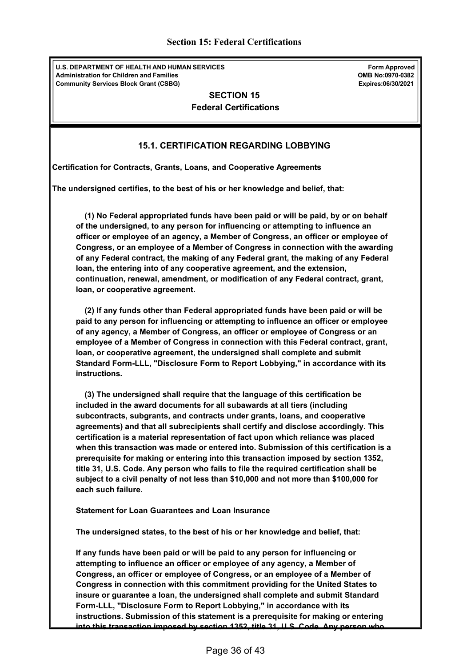<span id="page-35-0"></span>**U.S. DEPARTMENT OF HEALTH AND HUMAN SERVICES Administration for Children and Families Community Services Block Grant (CSBG)**

**Form Approved OMB No:0970-0382 Expires:06/30/2021**

# **SECTION 15 Federal Certifications**

# **15.1. CERTIFICATION REGARDING LOBBYING**

**Certification for Contracts, Grants, Loans, and Cooperative Agreements**

**The undersigned certifies, to the best of his or her knowledge and belief, that:**

**(1) No Federal appropriated funds have been paid or will be paid, by or on behalf of the undersigned, to any person for influencing or attempting to influence an officer or employee of an agency, a Member of Congress, an officer or employee of Congress, or an employee of a Member of Congress in connection with the awarding of any Federal contract, the making of any Federal grant, the making of any Federal loan, the entering into of any cooperative agreement, and the extension, continuation, renewal, amendment, or modification of any Federal contract, grant, loan, or cooperative agreement.**

**(2) If any funds other than Federal appropriated funds have been paid or will be paid to any person for influencing or attempting to influence an officer or employee of any agency, a Member of Congress, an officer or employee of Congress or an employee of a Member of Congress in connection with this Federal contract, grant, loan, or cooperative agreement, the undersigned shall complete and submit Standard Form-LLL, "Disclosure Form to Report Lobbying," in accordance with its instructions.**

**(3) The undersigned shall require that the language of this certification be included in the award documents for all subawards at all tiers (including subcontracts, subgrants, and contracts under grants, loans, and cooperative agreements) and that all subrecipients shall certify and disclose accordingly. This certification is a material representation of fact upon which reliance was placed when this transaction was made or entered into. Submission of this certification is a prerequisite for making or entering into this transaction imposed by section 1352, title 31, U.S. Code. Any person who fails to file the required certification shall be subject to a civil penalty of not less than \$10,000 and not more than \$100,000 for each such failure.**

**Statement for Loan Guarantees and Loan Insurance**

**The undersigned states, to the best of his or her knowledge and belief, that:**

**If any funds have been paid or will be paid to any person for influencing or attempting to influence an officer or employee of any agency, a Member of Congress, an officer or employee of Congress, or an employee of a Member of Congress in connection with this commitment providing for the United States to insure or guarantee a loan, the undersigned shall complete and submit Standard Form-LLL, "Disclosure Form to Report Lobbying," in accordance with its instructions. Submission of this statement is a prerequisite for making or entering into this transaction imposed by section 1352, title 31, U.S. Code. Any person who**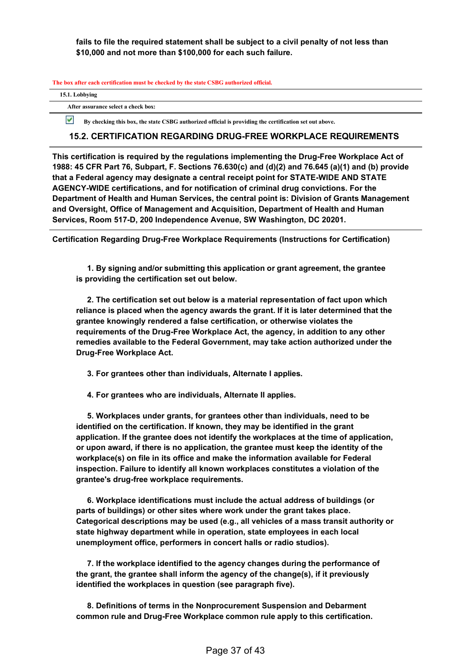**fails to file the required statement shall be subject to a civil penalty of not less than \$10,000 and not more than \$100,000 for each such failure.**

### **The box after each certification must be checked by the state CSBG authorized official.**

#### **15.1. Lobbying**

**After assurance select a check box:**

**By checking this box, the state CSBG authorized official is providing the certification set out above.** 

## **15.2. CERTIFICATION REGARDING DRUG-FREE WORKPLACE REQUIREMENTS**

**This certification is required by the regulations implementing the Drug-Free Workplace Act of 1988: 45 CFR Part 76, Subpart, F. Sections 76.630(c) and (d)(2) and 76.645 (a)(1) and (b) provide that a Federal agency may designate a central receipt point for STATE-WIDE AND STATE AGENCY-WIDE certifications, and for notification of criminal drug convictions. For the Department of Health and Human Services, the central point is: Division of Grants Management and Oversight, Office of Management and Acquisition, Department of Health and Human Services, Room 517-D, 200 Independence Avenue, SW Washington, DC 20201.**

**Certification Regarding Drug-Free Workplace Requirements (Instructions for Certification)**

**1. By signing and/or submitting this application or grant agreement, the grantee is providing the certification set out below.**

**2. The certification set out below is a material representation of fact upon which reliance is placed when the agency awards the grant. If it is later determined that the grantee knowingly rendered a false certification, or otherwise violates the requirements of the Drug-Free Workplace Act, the agency, in addition to any other remedies available to the Federal Government, may take action authorized under the Drug-Free Workplace Act.**

**3. For grantees other than individuals, Alternate I applies.**

**4. For grantees who are individuals, Alternate II applies.**

**5. Workplaces under grants, for grantees other than individuals, need to be identified on the certification. If known, they may be identified in the grant application. If the grantee does not identify the workplaces at the time of application, or upon award, if there is no application, the grantee must keep the identity of the workplace(s) on file in its office and make the information available for Federal inspection. Failure to identify all known workplaces constitutes a violation of the grantee's drug-free workplace requirements.**

**6. Workplace identifications must include the actual address of buildings (or parts of buildings) or other sites where work under the grant takes place. Categorical descriptions may be used (e.g., all vehicles of a mass transit authority or state highway department while in operation, state employees in each local unemployment office, performers in concert halls or radio studios).**

**7. If the workplace identified to the agency changes during the performance of the grant, the grantee shall inform the agency of the change(s), if it previously identified the workplaces in question (see paragraph five).**

**8. Definitions of terms in the Nonprocurement Suspension and Debarment common rule and Drug-Free Workplace common rule apply to this certification.**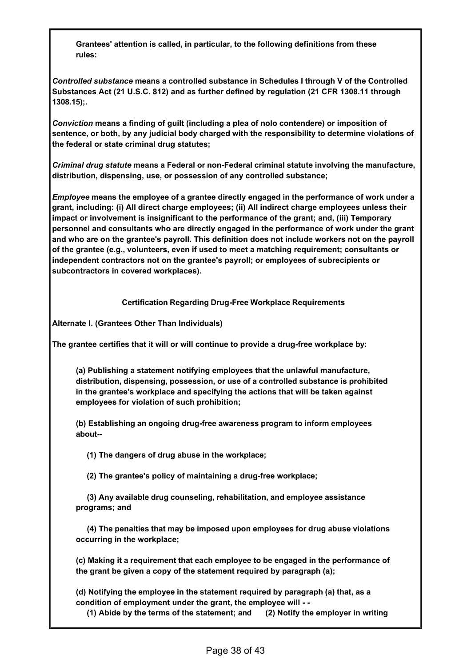**Grantees' attention is called, in particular, to the following definitions from these rules:**

*Controlled substance* **means a controlled substance in Schedules I through V of the Controlled Substances Act (21 U.S.C. 812) and as further defined by regulation (21 CFR 1308.11 through 1308.15);.**

*Conviction* **means a finding of guilt (including a plea of nolo contendere) or imposition of sentence, or both, by any judicial body charged with the responsibility to determine violations of the federal or state criminal drug statutes;**

*Criminal drug statute* **means a Federal or non-Federal criminal statute involving the manufacture, distribution, dispensing, use, or possession of any controlled substance;**

*Employee* **means the employee of a grantee directly engaged in the performance of work under a grant, including: (i) All direct charge employees; (ii) All indirect charge employees unless their impact or involvement is insignificant to the performance of the grant; and, (iii) Temporary personnel and consultants who are directly engaged in the performance of work under the grant and who are on the grantee's payroll. This definition does not include workers not on the payroll of the grantee (e.g., volunteers, even if used to meet a matching requirement; consultants or independent contractors not on the grantee's payroll; or employees of subrecipients or subcontractors in covered workplaces).**

**Certification Regarding Drug-Free Workplace Requirements** 

**Alternate I. (Grantees Other Than Individuals)**

**The grantee certifies that it will or will continue to provide a drug-free workplace by:**

**(a) Publishing a statement notifying employees that the unlawful manufacture, distribution, dispensing, possession, or use of a controlled substance is prohibited in the grantee's workplace and specifying the actions that will be taken against employees for violation of such prohibition;**

**(b) Establishing an ongoing drug-free awareness program to inform employees about--**

**(1) The dangers of drug abuse in the workplace;**

**(2) The grantee's policy of maintaining a drug-free workplace;**

**(3) Any available drug counseling, rehabilitation, and employee assistance programs; and**

**(4) The penalties that may be imposed upon employees for drug abuse violations occurring in the workplace;**

**(c) Making it a requirement that each employee to be engaged in the performance of the grant be given a copy of the statement required by paragraph (a);**

**(d) Notifying the employee in the statement required by paragraph (a) that, as a condition of employment under the grant, the employee will - -**

**(1) Abide by the terms of the statement; and (2) Notify the employer in writing**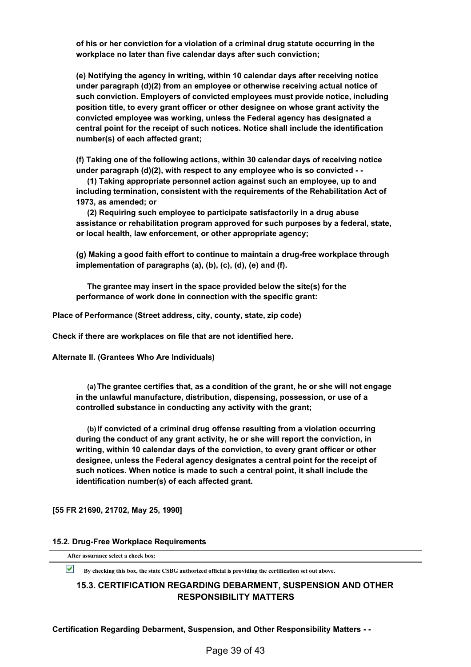**of his or her conviction for a violation of a criminal drug statute occurring in the workplace no later than five calendar days after such conviction;**

**(e) Notifying the agency in writing, within 10 calendar days after receiving notice under paragraph (d)(2) from an employee or otherwise receiving actual notice of such conviction. Employers of convicted employees must provide notice, including position title, to every grant officer or other designee on whose grant activity the convicted employee was working, unless the Federal agency has designated a central point for the receipt of such notices. Notice shall include the identification number(s) of each affected grant;**

**(f) Taking one of the following actions, within 30 calendar days of receiving notice under paragraph (d)(2), with respect to any employee who is so convicted - -** 

**(1) Taking appropriate personnel action against such an employee, up to and including termination, consistent with the requirements of the Rehabilitation Act of 1973, as amended; or**

**(2) Requiring such employee to participate satisfactorily in a drug abuse assistance or rehabilitation program approved for such purposes by a federal, state, or local health, law enforcement, or other appropriate agency;**

**(g) Making a good faith effort to continue to maintain a drug-free workplace through implementation of paragraphs (a), (b), (c), (d), (e) and (f).**

**The grantee may insert in the space provided below the site(s) for the performance of work done in connection with the specific grant:**

**Place of Performance (Street address, city, county, state, zip code)** 

**Check if there are workplaces on file that are not identified here.**

**Alternate II. (Grantees Who Are Individuals)**

**(a) The grantee certifies that, as a condition of the grant, he or she will not engage in the unlawful manufacture, distribution, dispensing, possession, or use of a controlled substance in conducting any activity with the grant;**

**(b) If convicted of a criminal drug offense resulting from a violation occurring during the conduct of any grant activity, he or she will report the conviction, in writing, within 10 calendar days of the conviction, to every grant officer or other designee, unless the Federal agency designates a central point for the receipt of such notices. When notice is made to such a central point, it shall include the identification number(s) of each affected grant.**

**[55 FR 21690, 21702, May 25, 1990]**

### **15.2. Drug-Free Workplace Requirements**

**After assurance select a check box:**

**By checking this box, the state CSBG authorized official is providing the certification set out above.** 

# **15.3. CERTIFICATION REGARDING DEBARMENT, SUSPENSION AND OTHER RESPONSIBILITY MATTERS**

**Certification Regarding Debarment, Suspension, and Other Responsibility Matters - -**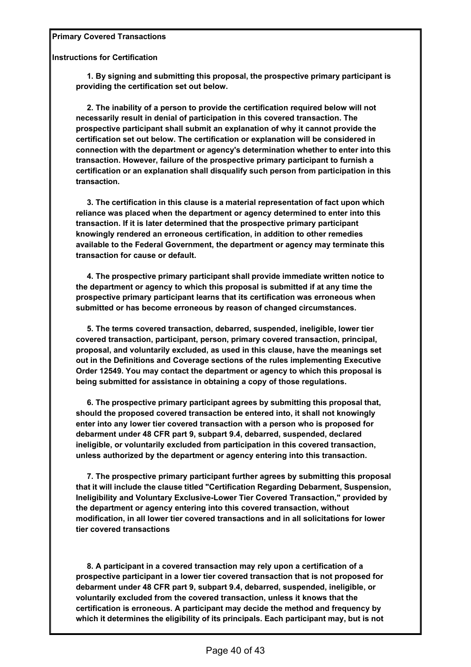**Primary Covered Transactions**

**Instructions for Certification**

**1. By signing and submitting this proposal, the prospective primary participant is providing the certification set out below.**

**2. The inability of a person to provide the certification required below will not necessarily result in denial of participation in this covered transaction. The prospective participant shall submit an explanation of why it cannot provide the certification set out below. The certification or explanation will be considered in connection with the department or agency's determination whether to enter into this transaction. However, failure of the prospective primary participant to furnish a certification or an explanation shall disqualify such person from participation in this transaction.**

**3. The certification in this clause is a material representation of fact upon which reliance was placed when the department or agency determined to enter into this transaction. If it is later determined that the prospective primary participant knowingly rendered an erroneous certification, in addition to other remedies available to the Federal Government, the department or agency may terminate this transaction for cause or default.**

**4. The prospective primary participant shall provide immediate written notice to the department or agency to which this proposal is submitted if at any time the prospective primary participant learns that its certification was erroneous when submitted or has become erroneous by reason of changed circumstances.**

**5. The terms covered transaction, debarred, suspended, ineligible, lower tier covered transaction, participant, person, primary covered transaction, principal, proposal, and voluntarily excluded, as used in this clause, have the meanings set out in the Definitions and Coverage sections of the rules implementing Executive Order 12549. You may contact the department or agency to which this proposal is being submitted for assistance in obtaining a copy of those regulations.**

**6. The prospective primary participant agrees by submitting this proposal that, should the proposed covered transaction be entered into, it shall not knowingly enter into any lower tier covered transaction with a person who is proposed for debarment under 48 CFR part 9, subpart 9.4, debarred, suspended, declared ineligible, or voluntarily excluded from participation in this covered transaction, unless authorized by the department or agency entering into this transaction.**

**7. The prospective primary participant further agrees by submitting this proposal that it will include the clause titled "Certification Regarding Debarment, Suspension, Ineligibility and Voluntary Exclusive-Lower Tier Covered Transaction," provided by the department or agency entering into this covered transaction, without modification, in all lower tier covered transactions and in all solicitations for lower tier covered transactions**

**8. A participant in a covered transaction may rely upon a certification of a prospective participant in a lower tier covered transaction that is not proposed for debarment under 48 CFR part 9, subpart 9.4, debarred, suspended, ineligible, or voluntarily excluded from the covered transaction, unless it knows that the certification is erroneous. A participant may decide the method and frequency by which it determines the eligibility of its principals. Each participant may, but is not**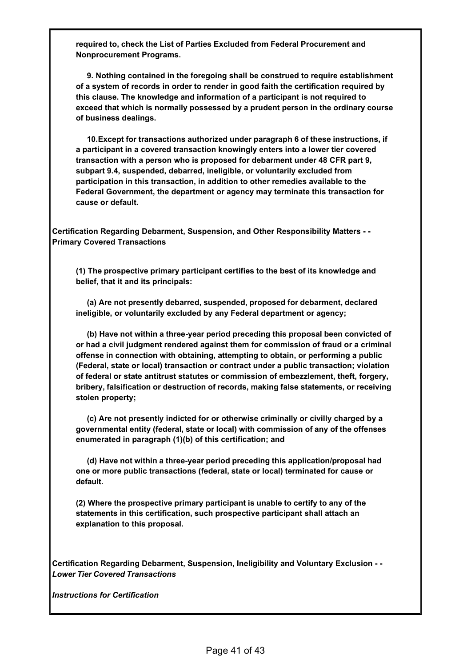**required to, check the List of Parties Excluded from Federal Procurement and Nonprocurement Programs.**

**9. Nothing contained in the foregoing shall be construed to require establishment of a system of records in order to render in good faith the certification required by this clause. The knowledge and information of a participant is not required to exceed that which is normally possessed by a prudent person in the ordinary course of business dealings.**

**10.Except for transactions authorized under paragraph 6 of these instructions, if a participant in a covered transaction knowingly enters into a lower tier covered transaction with a person who is proposed for debarment under 48 CFR part 9, subpart 9.4, suspended, debarred, ineligible, or voluntarily excluded from participation in this transaction, in addition to other remedies available to the Federal Government, the department or agency may terminate this transaction for cause or default.**

**Certification Regarding Debarment, Suspension, and Other Responsibility Matters - - Primary Covered Transactions**

**(1) The prospective primary participant certifies to the best of its knowledge and belief, that it and its principals:**

**(a) Are not presently debarred, suspended, proposed for debarment, declared ineligible, or voluntarily excluded by any Federal department or agency;**

**(b) Have not within a three-year period preceding this proposal been convicted of or had a civil judgment rendered against them for commission of fraud or a criminal offense in connection with obtaining, attempting to obtain, or performing a public (Federal, state or local) transaction or contract under a public transaction; violation of federal or state antitrust statutes or commission of embezzlement, theft, forgery, bribery, falsification or destruction of records, making false statements, or receiving stolen property;**

**(c) Are not presently indicted for or otherwise criminally or civilly charged by a governmental entity (federal, state or local) with commission of any of the offenses enumerated in paragraph (1)(b) of this certification; and**

**(d) Have not within a three-year period preceding this application/proposal had one or more public transactions (federal, state or local) terminated for cause or default.**

**(2) Where the prospective primary participant is unable to certify to any of the statements in this certification, such prospective participant shall attach an explanation to this proposal.**

**Certification Regarding Debarment, Suspension, Ineligibility and Voluntary Exclusion - -** *Lower Tier Covered Transactions* 

*Instructions for Certification*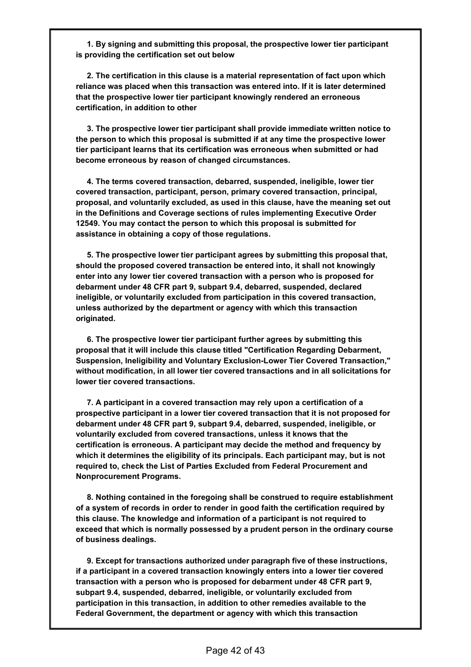**1. By signing and submitting this proposal, the prospective lower tier participant is providing the certification set out below**

**2. The certification in this clause is a material representation of fact upon which reliance was placed when this transaction was entered into. If it is later determined that the prospective lower tier participant knowingly rendered an erroneous certification, in addition to other**

**3. The prospective lower tier participant shall provide immediate written notice to the person to which this proposal is submitted if at any time the prospective lower tier participant learns that its certification was erroneous when submitted or had become erroneous by reason of changed circumstances.**

**4. The terms covered transaction, debarred, suspended, ineligible, lower tier covered transaction, participant, person, primary covered transaction, principal, proposal, and voluntarily excluded, as used in this clause, have the meaning set out in the Definitions and Coverage sections of rules implementing Executive Order 12549. You may contact the person to which this proposal is submitted for assistance in obtaining a copy of those regulations.**

**5. The prospective lower tier participant agrees by submitting this proposal that, should the proposed covered transaction be entered into, it shall not knowingly enter into any lower tier covered transaction with a person who is proposed for debarment under 48 CFR part 9, subpart 9.4, debarred, suspended, declared ineligible, or voluntarily excluded from participation in this covered transaction, unless authorized by the department or agency with which this transaction originated.**

**6. The prospective lower tier participant further agrees by submitting this proposal that it will include this clause titled "Certification Regarding Debarment, Suspension, Ineligibility and Voluntary Exclusion-Lower Tier Covered Transaction," without modification, in all lower tier covered transactions and in all solicitations for lower tier covered transactions.**

**7. A participant in a covered transaction may rely upon a certification of a prospective participant in a lower tier covered transaction that it is not proposed for debarment under 48 CFR part 9, subpart 9.4, debarred, suspended, ineligible, or voluntarily excluded from covered transactions, unless it knows that the certification is erroneous. A participant may decide the method and frequency by which it determines the eligibility of its principals. Each participant may, but is not required to, check the List of Parties Excluded from Federal Procurement and Nonprocurement Programs.**

**8. Nothing contained in the foregoing shall be construed to require establishment of a system of records in order to render in good faith the certification required by this clause. The knowledge and information of a participant is not required to exceed that which is normally possessed by a prudent person in the ordinary course of business dealings.**

**9. Except for transactions authorized under paragraph five of these instructions, if a participant in a covered transaction knowingly enters into a lower tier covered transaction with a person who is proposed for debarment under 48 CFR part 9, subpart 9.4, suspended, debarred, ineligible, or voluntarily excluded from participation in this transaction, in addition to other remedies available to the Federal Government, the department or agency with which this transaction**